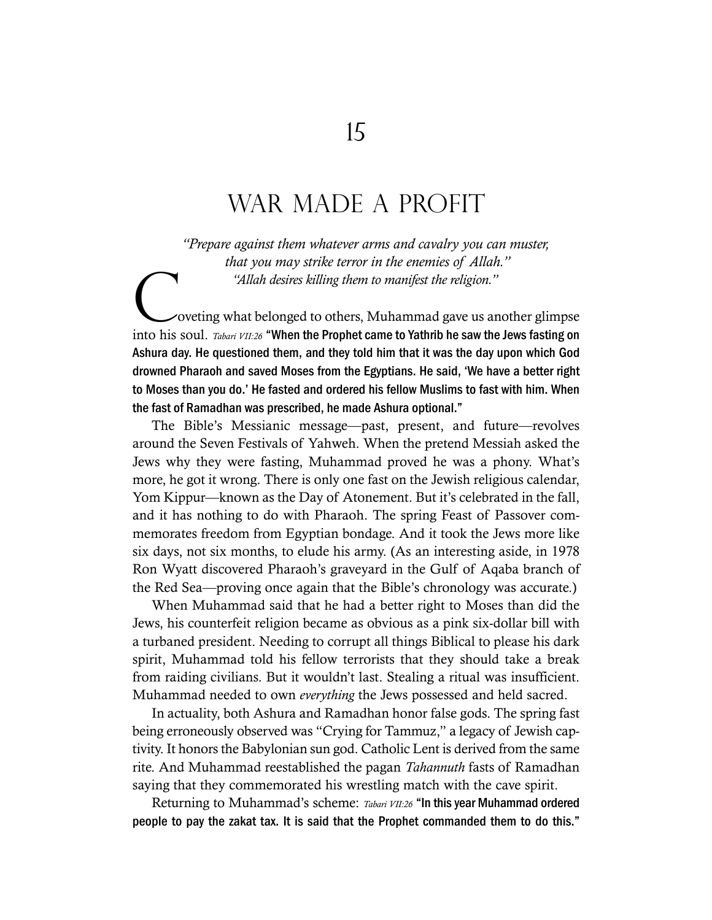## WAR MADE A PROFIT

*"Prepare against them whatever arms and cavalry you can muster, that you may strike terror in the enemies of Allah."*

*"Allah desires killing them to manifest the religion."* Coveting what belonged to others, Muhammad gave us another glimpse into his soul. *Tabari VII:26* "When the Prophet came to Yathrib he saw the Jews fasting on Ashura day. He questioned them, and they told him that it was the day upon which God drowned Pharaoh and saved Moses from the Egyptians. He said, 'We have a better right to Moses than you do.' He fasted and ordered his fellow Muslims to fast with him. When the fast of Ramadhan was prescribed, he made Ashura optional."

The Bible's Messianic message—past, present, and future—revolves around the Seven Festivals of Yahweh. When the pretend Messiah asked the Jews why they were fasting, Muhammad proved he was a phony. What's more, he got it wrong. There is only one fast on the Jewish religious calendar, Yom Kippur—known as the Day of Atonement. But it's celebrated in the fall, and it has nothing to do with Pharaoh. The spring Feast of Passover commemorates freedom from Egyptian bondage. And it took the Jews more like six days, not six months, to elude his army. (As an interesting aside, in 1978 Ron Wyatt discovered Pharaoh's graveyard in the Gulf of Aqaba branch of the Red Sea—proving once again that the Bible's chronology was accurate.)

When Muhammad said that he had a better right to Moses than did the Jews, his counterfeit religion became as obvious as a pink six-dollar bill with a turbaned president. Needing to corrupt all things Biblical to please his dark spirit, Muhammad told his fellow terrorists that they should take a break from raiding civilians. But it wouldn't last. Stealing a ritual was insufficient. Muhammad needed to own *everything* the Jews possessed and held sacred.

In actuality, both Ashura and Ramadhan honor false gods. The spring fast being erroneously observed was "Crying for Tammuz," a legacy of Jewish captivity. It honors the Babylonian sun god. Catholic Lent is derived from the same rite. And Muhammad reestablished the pagan *Tahannuth* fasts of Ramadhan saying that they commemorated his wrestling match with the cave spirit.

Returning to Muhammad's scheme: *Tabari VII:26* "In this year Muhammad ordered people to pay the zakat tax. It is said that the Prophet commanded them to do this."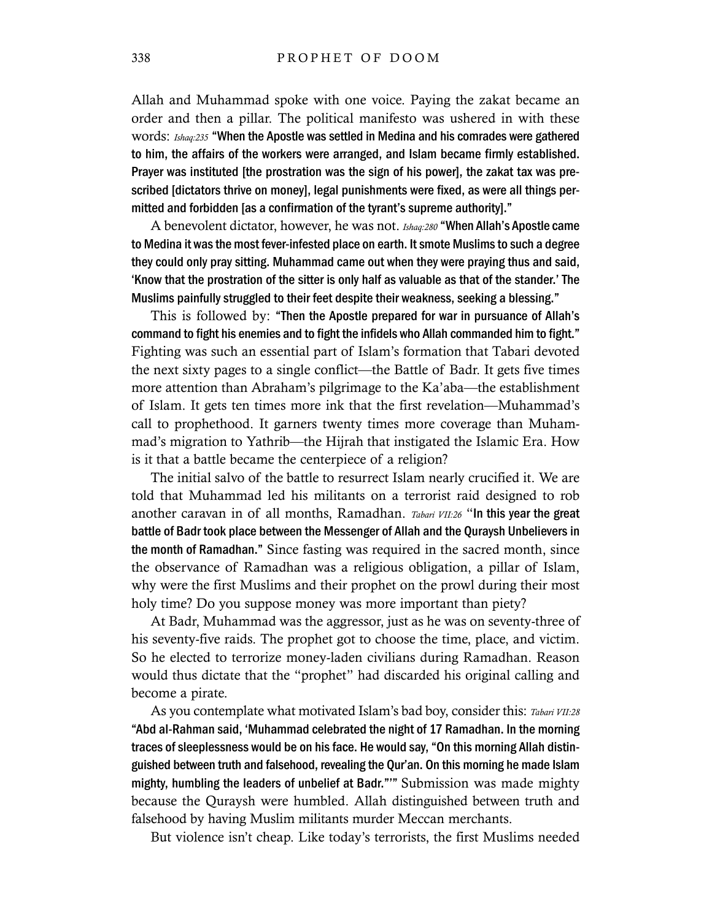Allah and Muhammad spoke with one voice. Paying the zakat became an order and then a pillar. The political manifesto was ushered in with these words: *Ishaq:235* "When the Apostle was settled in Medina and his comrades were gathered to him, the affairs of the workers were arranged, and Islam became firmly established. Prayer was instituted [the prostration was the sign of his power], the zakat tax was prescribed [dictators thrive on money], legal punishments were fixed, as were all things permitted and forbidden [as a confirmation of the tyrant's supreme authority]."

A benevolent dictator, however, he was not. *Ishaq:280* "When Allah's Apostle came to Medina it was the most fever-infested place on earth. It smote Muslims to such a degree they could only pray sitting. Muhammad came out when they were praying thus and said, 'Know that the prostration of the sitter is only half as valuable as that of the stander.' The Muslims painfully struggled to their feet despite their weakness, seeking a blessing."

This is followed by: "Then the Apostle prepared for war in pursuance of Allah's command to fight his enemies and to fight the infidels who Allah commanded him to fight." Fighting was such an essential part of Islam's formation that Tabari devoted the next sixty pages to a single conflict—the Battle of Badr. It gets five times more attention than Abraham's pilgrimage to the Ka'aba—the establishment of Islam. It gets ten times more ink that the first revelation—Muhammad's call to prophethood. It garners twenty times more coverage than Muhammad's migration to Yathrib—the Hijrah that instigated the Islamic Era. How is it that a battle became the centerpiece of a religion?

The initial salvo of the battle to resurrect Islam nearly crucified it. We are told that Muhammad led his militants on a terrorist raid designed to rob another caravan in of all months, Ramadhan. *Tabari VII:26* "In this year the great battle of Badr took place between the Messenger of Allah and the Quraysh Unbelievers in the month of Ramadhan." Since fasting was required in the sacred month, since the observance of Ramadhan was a religious obligation, a pillar of Islam, why were the first Muslims and their prophet on the prowl during their most holy time? Do you suppose money was more important than piety?

At Badr, Muhammad was the aggressor, just as he was on seventy-three of his seventy-five raids. The prophet got to choose the time, place, and victim. So he elected to terrorize money-laden civilians during Ramadhan. Reason would thus dictate that the "prophet" had discarded his original calling and become a pirate.

As you contemplate what motivated Islam's bad boy, consider this: *Tabari VII:28* "Abd al-Rahman said, 'Muhammad celebrated the night of 17 Ramadhan. In the morning traces of sleeplessness would be on his face. He would say, "On this morning Allah distinguished between truth and falsehood, revealing the Qur'an. On this morning he made Islam mighty, humbling the leaders of unbelief at Badr."'" Submission was made mighty because the Quraysh were humbled. Allah distinguished between truth and falsehood by having Muslim militants murder Meccan merchants.

But violence isn't cheap. Like today's terrorists, the first Muslims needed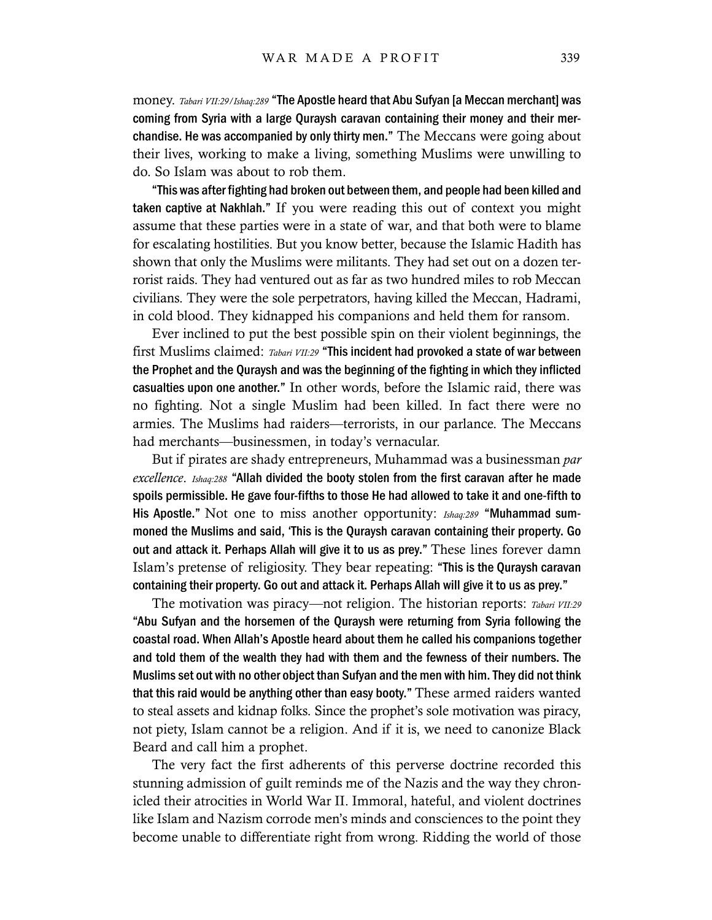money. *Tabari VII:29/Ishaq:289* "The Apostle heard that Abu Sufyan [a Meccan merchant] was coming from Syria with a large Quraysh caravan containing their money and their merchandise. He was accompanied by only thirty men." The Meccans were going about their lives, working to make a living, something Muslims were unwilling to do. So Islam was about to rob them.

"This was after fighting had broken out between them, and people had been killed and taken captive at Nakhlah." If you were reading this out of context you might assume that these parties were in a state of war, and that both were to blame for escalating hostilities. But you know better, because the Islamic Hadith has shown that only the Muslims were militants. They had set out on a dozen terrorist raids. They had ventured out as far as two hundred miles to rob Meccan civilians. They were the sole perpetrators, having killed the Meccan, Hadrami, in cold blood. They kidnapped his companions and held them for ransom.

Ever inclined to put the best possible spin on their violent beginnings, the first Muslims claimed: *Tabari VII:29* "This incident had provoked a state of war between the Prophet and the Quraysh and was the beginning of the fighting in which they inflicted casualties upon one another." In other words, before the Islamic raid, there was no fighting. Not a single Muslim had been killed. In fact there were no armies. The Muslims had raiders—terrorists, in our parlance. The Meccans had merchants—businessmen, in today's vernacular.

But if pirates are shady entrepreneurs, Muhammad was a businessman *par excellence*. *Ishaq:288* "Allah divided the booty stolen from the first caravan after he made spoils permissible. He gave four-fifths to those He had allowed to take it and one-fifth to His Apostle." Not one to miss another opportunity: *Ishaq:289* "Muhammad summoned the Muslims and said, 'This is the Quraysh caravan containing their property. Go out and attack it. Perhaps Allah will give it to us as prey." These lines forever damn Islam's pretense of religiosity. They bear repeating: "This is the Quraysh caravan containing their property. Go out and attack it. Perhaps Allah will give it to us as prey."

The motivation was piracy—not religion. The historian reports: *Tabari VII:29* "Abu Sufyan and the horsemen of the Quraysh were returning from Syria following the coastal road. When Allah's Apostle heard about them he called his companions together and told them of the wealth they had with them and the fewness of their numbers. The Muslims set out with no other object than Sufyan and the men with him. They did not think that this raid would be anything other than easy booty." These armed raiders wanted to steal assets and kidnap folks. Since the prophet's sole motivation was piracy, not piety, Islam cannot be a religion. And if it is, we need to canonize Black Beard and call him a prophet.

The very fact the first adherents of this perverse doctrine recorded this stunning admission of guilt reminds me of the Nazis and the way they chronicled their atrocities in World War II. Immoral, hateful, and violent doctrines like Islam and Nazism corrode men's minds and consciences to the point they become unable to differentiate right from wrong. Ridding the world of those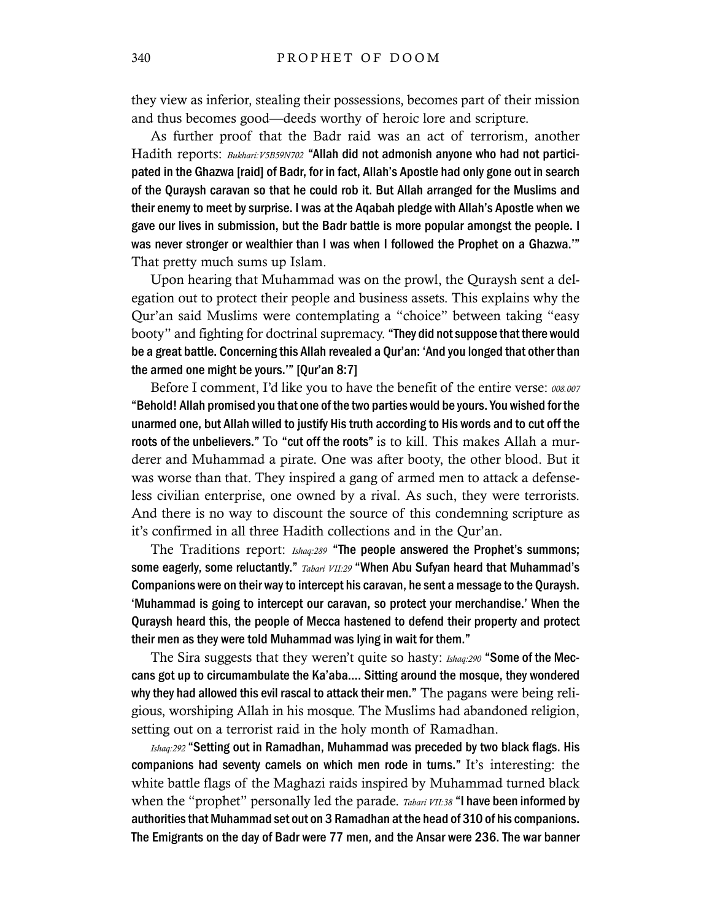they view as inferior, stealing their possessions, becomes part of their mission and thus becomes good—deeds worthy of heroic lore and scripture.

As further proof that the Badr raid was an act of terrorism, another Hadith reports: *Bukhari:V5B59N702* "Allah did not admonish anyone who had not participated in the Ghazwa [raid] of Badr, for in fact, Allah's Apostle had only gone out in search of the Quraysh caravan so that he could rob it. But Allah arranged for the Muslims and their enemy to meet by surprise. I was at the Aqabah pledge with Allah's Apostle when we gave our lives in submission, but the Badr battle is more popular amongst the people. I was never stronger or wealthier than I was when I followed the Prophet on a Ghazwa.'" That pretty much sums up Islam.

Upon hearing that Muhammad was on the prowl, the Quraysh sent a delegation out to protect their people and business assets. This explains why the Qur'an said Muslims were contemplating a "choice" between taking "easy booty" and fighting for doctrinal supremacy. "They did not suppose that there would be a great battle. Concerning this Allah revealed a Qur'an: 'And you longed that other than the armed one might be yours.'" [Qur'an 8:7]

Before I comment, I'd like you to have the benefit of the entire verse: *008.007* "Behold! Allah promised you that one of the two parties would be yours. You wished for the unarmed one, but Allah willed to justify His truth according to His words and to cut off the roots of the unbelievers." To "cut off the roots" is to kill. This makes Allah a murderer and Muhammad a pirate. One was after booty, the other blood. But it was worse than that. They inspired a gang of armed men to attack a defenseless civilian enterprise, one owned by a rival. As such, they were terrorists. And there is no way to discount the source of this condemning scripture as it's confirmed in all three Hadith collections and in the Qur'an.

The Traditions report: *Ishaq:289* "The people answered the Prophet's summons; some eagerly, some reluctantly." *Tabari VII:29* "When Abu Sufyan heard that Muhammad's Companions were on their way to intercept his caravan, he sent a message to the Quraysh. 'Muhammad is going to intercept our caravan, so protect your merchandise.' When the Quraysh heard this, the people of Mecca hastened to defend their property and protect their men as they were told Muhammad was lying in wait for them."

The Sira suggests that they weren't quite so hasty: *Ishaq:290* "Some of the Meccans got up to circumambulate the Ka'aba…. Sitting around the mosque, they wondered why they had allowed this evil rascal to attack their men." The pagans were being religious, worshiping Allah in his mosque. The Muslims had abandoned religion, setting out on a terrorist raid in the holy month of Ramadhan.

*Ishaq:292* "Setting out in Ramadhan, Muhammad was preceded by two black flags. His companions had seventy camels on which men rode in turns." It's interesting: the white battle flags of the Maghazi raids inspired by Muhammad turned black when the "prophet" personally led the parade. *Tabari VII:38* "I have been informed by authorities that Muhammad set out on 3 Ramadhan at the head of 310 of his companions. The Emigrants on the day of Badr were 77 men, and the Ansar were 236. The war banner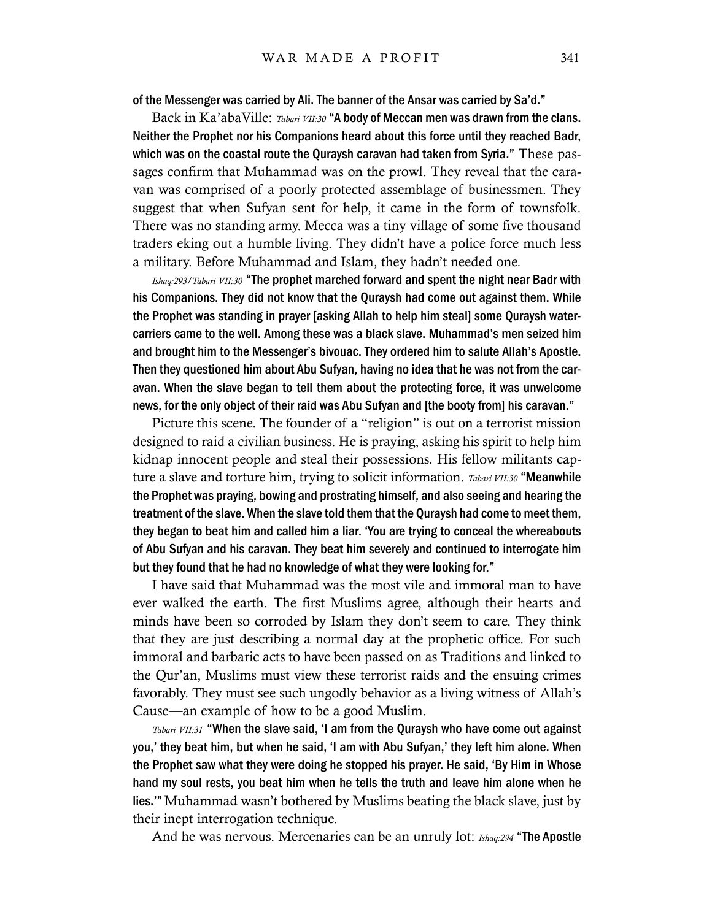of the Messenger was carried by Ali. The banner of the Ansar was carried by Sa'd."

Back in Ka'abaVille: *Tabari VII:30* "A body of Meccan men was drawn from the clans. Neither the Prophet nor his Companions heard about this force until they reached Badr, which was on the coastal route the Quraysh caravan had taken from Syria." These passages confirm that Muhammad was on the prowl. They reveal that the caravan was comprised of a poorly protected assemblage of businessmen. They suggest that when Sufyan sent for help, it came in the form of townsfolk. There was no standing army. Mecca was a tiny village of some five thousand traders eking out a humble living. They didn't have a police force much less a military. Before Muhammad and Islam, they hadn't needed one.

*Ishaq:293/Tabari VII:30* "The prophet marched forward and spent the night near Badr with his Companions. They did not know that the Quraysh had come out against them. While the Prophet was standing in prayer [asking Allah to help him steal] some Quraysh watercarriers came to the well. Among these was a black slave. Muhammad's men seized him and brought him to the Messenger's bivouac. They ordered him to salute Allah's Apostle. Then they questioned him about Abu Sufyan, having no idea that he was not from the caravan. When the slave began to tell them about the protecting force, it was unwelcome news, for the only object of their raid was Abu Sufyan and [the booty from] his caravan."

Picture this scene. The founder of a "religion" is out on a terrorist mission designed to raid a civilian business. He is praying, asking his spirit to help him kidnap innocent people and steal their possessions. His fellow militants capture a slave and torture him, trying to solicit information. *Tabari VII:30* "Meanwhile the Prophet was praying, bowing and prostrating himself, and also seeing and hearing the treatment of the slave. When the slave told them that the Quraysh had come to meet them, they began to beat him and called him a liar. 'You are trying to conceal the whereabouts of Abu Sufyan and his caravan. They beat him severely and continued to interrogate him but they found that he had no knowledge of what they were looking for."

I have said that Muhammad was the most vile and immoral man to have ever walked the earth. The first Muslims agree, although their hearts and minds have been so corroded by Islam they don't seem to care. They think that they are just describing a normal day at the prophetic office. For such immoral and barbaric acts to have been passed on as Traditions and linked to the Qur'an, Muslims must view these terrorist raids and the ensuing crimes favorably. They must see such ungodly behavior as a living witness of Allah's Cause—an example of how to be a good Muslim.

*Tabari VII:31* "When the slave said, 'I am from the Quraysh who have come out against you,' they beat him, but when he said, 'I am with Abu Sufyan,' they left him alone. When the Prophet saw what they were doing he stopped his prayer. He said, 'By Him in Whose hand my soul rests, you beat him when he tells the truth and leave him alone when he lies.'" Muhammad wasn't bothered by Muslims beating the black slave, just by their inept interrogation technique.

And he was nervous. Mercenaries can be an unruly lot: *Ishaq:294* "The Apostle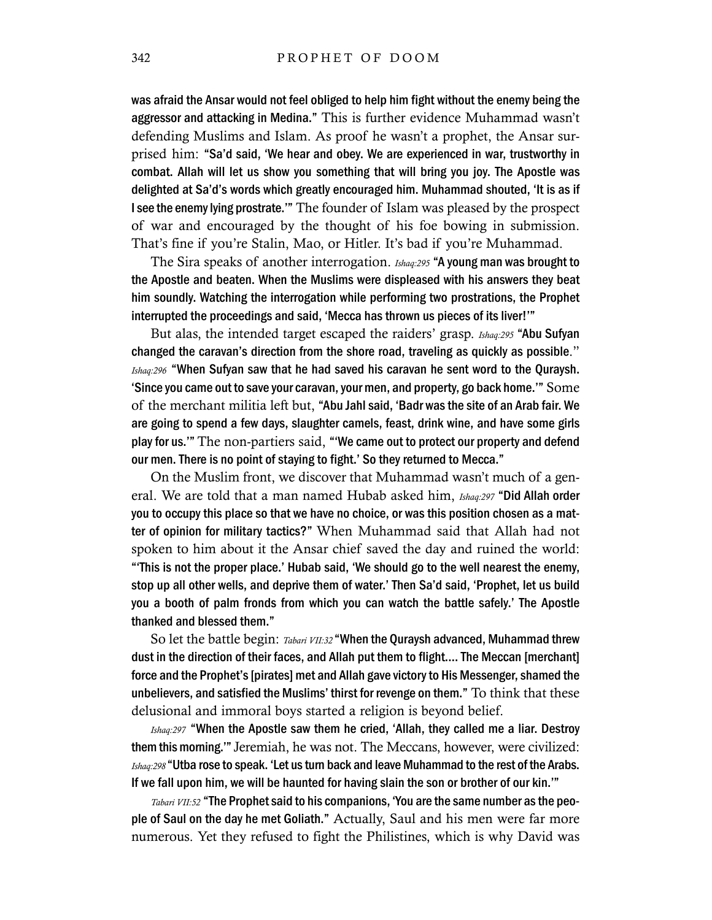was afraid the Ansar would not feel obliged to help him fight without the enemy being the aggressor and attacking in Medina." This is further evidence Muhammad wasn't defending Muslims and Islam. As proof he wasn't a prophet, the Ansar surprised him: "Sa'd said, 'We hear and obey. We are experienced in war, trustworthy in combat. Allah will let us show you something that will bring you joy. The Apostle was delighted at Sa'd's words which greatly encouraged him. Muhammad shouted, 'It is as if I see the enemy lying prostrate.'" The founder of Islam was pleased by the prospect of war and encouraged by the thought of his foe bowing in submission. That's fine if you're Stalin, Mao, or Hitler. It's bad if you're Muhammad.

The Sira speaks of another interrogation. *Ishaq:295* "A young man was brought to the Apostle and beaten. When the Muslims were displeased with his answers they beat him soundly. Watching the interrogation while performing two prostrations, the Prophet interrupted the proceedings and said, 'Mecca has thrown us pieces of its liver!'"

But alas, the intended target escaped the raiders' grasp. *Ishaq:295* "Abu Sufyan changed the caravan's direction from the shore road, traveling as quickly as possible." *Ishaq:296* "When Sufyan saw that he had saved his caravan he sent word to the Quraysh. 'Since you came out to save your caravan, your men, and property, go back home.'" Some of the merchant militia left but, "Abu Jahl said, 'Badr was the site of an Arab fair. We are going to spend a few days, slaughter camels, feast, drink wine, and have some girls play for us.'" The non-partiers said, "'We came out to protect our property and defend our men. There is no point of staying to fight.' So they returned to Mecca."

On the Muslim front, we discover that Muhammad wasn't much of a general. We are told that a man named Hubab asked him, *Ishaq:297* "Did Allah order you to occupy this place so that we have no choice, or was this position chosen as a matter of opinion for military tactics?" When Muhammad said that Allah had not spoken to him about it the Ansar chief saved the day and ruined the world: "'This is not the proper place.' Hubab said, 'We should go to the well nearest the enemy, stop up all other wells, and deprive them of water.' Then Sa'd said, 'Prophet, let us build you a booth of palm fronds from which you can watch the battle safely.' The Apostle thanked and blessed them."

So let the battle begin: *Tabari VII:32* "When the Quraysh advanced, Muhammad threw dust in the direction of their faces, and Allah put them to flight.… The Meccan [merchant] force and the Prophet's [pirates] met and Allah gave victory to His Messenger, shamed the unbelievers, and satisfied the Muslims' thirst for revenge on them." To think that these delusional and immoral boys started a religion is beyond belief.

*Ishaq:297* "When the Apostle saw them he cried, 'Allah, they called me a liar. Destroy them this morning.'" Jeremiah, he was not. The Meccans, however, were civilized: *Ishaq:298* "Utba rose to speak. 'Let us turn back and leave Muhammad to the rest of the Arabs. If we fall upon him, we will be haunted for having slain the son or brother of our kin.'"

*Tabari VII:52* "The Prophet said to his companions, 'You are the same number as the people of Saul on the day he met Goliath." Actually, Saul and his men were far more numerous. Yet they refused to fight the Philistines, which is why David was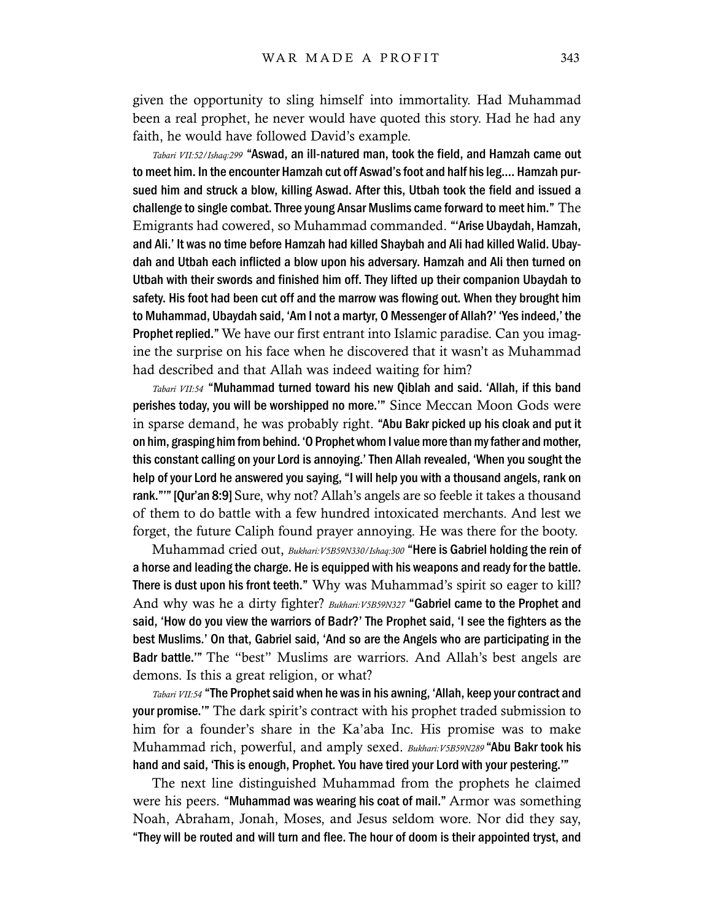given the opportunity to sling himself into immortality. Had Muhammad been a real prophet, he never would have quoted this story. Had he had any faith, he would have followed David's example.

*Tabari VII:52/Ishaq:299* "Aswad, an ill-natured man, took the field, and Hamzah came out to meet him. In the encounter Hamzah cut off Aswad's foot and half his leg.… Hamzah pursued him and struck a blow, killing Aswad. After this, Utbah took the field and issued a challenge to single combat. Three young Ansar Muslims came forward to meet him." The Emigrants had cowered, so Muhammad commanded. "'Arise Ubaydah, Hamzah, and Ali.' It was no time before Hamzah had killed Shaybah and Ali had killed Walid. Ubaydah and Utbah each inflicted a blow upon his adversary. Hamzah and Ali then turned on Utbah with their swords and finished him off. They lifted up their companion Ubaydah to safety. His foot had been cut off and the marrow was flowing out. When they brought him to Muhammad, Ubaydah said, 'Am I not a martyr, O Messenger of Allah?' 'Yes indeed,' the Prophet replied." We have our first entrant into Islamic paradise. Can you imagine the surprise on his face when he discovered that it wasn't as Muhammad had described and that Allah was indeed waiting for him?

*Tabari VII:54* "Muhammad turned toward his new Qiblah and said. 'Allah, if this band perishes today, you will be worshipped no more.'" Since Meccan Moon Gods were in sparse demand, he was probably right. "Abu Bakr picked up his cloak and put it on him, grasping him from behind. 'O Prophet whom I value more than my father and mother, this constant calling on your Lord is annoying.' Then Allah revealed, 'When you sought the help of your Lord he answered you saying, "I will help you with a thousand angels, rank on rank."'" [Qur'an 8:9] Sure, why not? Allah's angels are so feeble it takes a thousand of them to do battle with a few hundred intoxicated merchants. And lest we forget, the future Caliph found prayer annoying. He was there for the booty.

Muhammad cried out, *Bukhari:V5B59N330/Ishaq:300* "Here is Gabriel holding the rein of a horse and leading the charge. He is equipped with his weapons and ready for the battle. There is dust upon his front teeth." Why was Muhammad's spirit so eager to kill? And why was he a dirty fighter? *Bukhari:V5B59N327* "Gabriel came to the Prophet and said, 'How do you view the warriors of Badr?' The Prophet said, 'I see the fighters as the best Muslims.' On that, Gabriel said, 'And so are the Angels who are participating in the Badr battle.'" The "best" Muslims are warriors. And Allah's best angels are demons. Is this a great religion, or what?

*Tabari VII:54* "The Prophet said when he was in his awning, 'Allah, keep your contract and your promise.'" The dark spirit's contract with his prophet traded submission to him for a founder's share in the Ka'aba Inc. His promise was to make Muhammad rich, powerful, and amply sexed. *Bukhari:V5B59N289* "Abu Bakr took his hand and said, 'This is enough, Prophet. You have tired your Lord with your pestering.'"

The next line distinguished Muhammad from the prophets he claimed were his peers. "Muhammad was wearing his coat of mail." Armor was something Noah, Abraham, Jonah, Moses, and Jesus seldom wore. Nor did they say, "They will be routed and will turn and flee. The hour of doom is their appointed tryst, and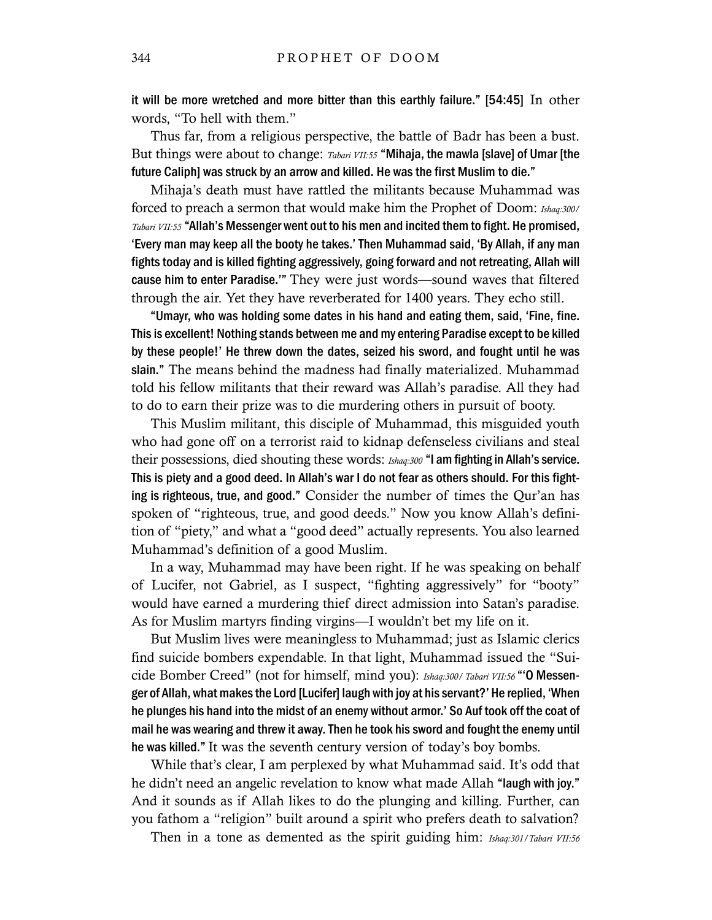it will be more wretched and more bitter than this earthly failure." [54:45] In other words, "To hell with them."

Thus far, from a religious perspective, the battle of Badr has been a bust. But things were about to change: *Tabari VII:55* "Mihaja, the mawla [slave] of Umar [the future Caliph] was struck by an arrow and killed. He was the first Muslim to die."

Mihaja's death must have rattled the militants because Muhammad was forced to preach a sermon that would make him the Prophet of Doom: *Ishaq:300/ Tabari VII:55* "Allah's Messenger went out to his men and incited them to fight. He promised, 'Every man may keep all the booty he takes.' Then Muhammad said, 'By Allah, if any man fights today and is killed fighting aggressively, going forward and not retreating, Allah will cause him to enter Paradise.'" They were just words—sound waves that filtered through the air. Yet they have reverberated for 1400 years. They echo still.

"Umayr, who was holding some dates in his hand and eating them, said, 'Fine, fine. This is excellent! Nothing stands between me and my entering Paradise except to be killed by these people!' He threw down the dates, seized his sword, and fought until he was slain." The means behind the madness had finally materialized. Muhammad told his fellow militants that their reward was Allah's paradise. All they had to do to earn their prize was to die murdering others in pursuit of booty.

This Muslim militant, this disciple of Muhammad, this misguided youth who had gone off on a terrorist raid to kidnap defenseless civilians and steal their possessions, died shouting these words: *Ishaq:300* "I am fighting in Allah's service. This is piety and a good deed. In Allah's war I do not fear as others should. For this fighting is righteous, true, and good." Consider the number of times the Qur'an has spoken of "righteous, true, and good deeds." Now you know Allah's definition of "piety," and what a "good deed" actually represents. You also learned Muhammad's definition of a good Muslim.

In a way, Muhammad may have been right. If he was speaking on behalf of Lucifer, not Gabriel, as I suspect, "fighting aggressively" for "booty" would have earned a murdering thief direct admission into Satan's paradise. As for Muslim martyrs finding virgins—I wouldn't bet my life on it.

But Muslim lives were meaningless to Muhammad; just as Islamic clerics find suicide bombers expendable. In that light, Muhammad issued the "Suicide Bomber Creed" (not for himself, mind you): *Ishaq:300/ Tabari VII:56* "'O Messenger of Allah, what makes the Lord [Lucifer] laugh with joy at his servant?' He replied, 'When he plunges his hand into the midst of an enemy without armor.' So Auf took off the coat of mail he was wearing and threw it away. Then he took his sword and fought the enemy until he was killed." It was the seventh century version of today's boy bombs.

While that's clear, I am perplexed by what Muhammad said. It's odd that he didn't need an angelic revelation to know what made Allah "laugh with joy." And it sounds as if Allah likes to do the plunging and killing. Further, can you fathom a "religion" built around a spirit who prefers death to salvation?

Then in a tone as demented as the spirit guiding him: *Ishaq:301/Tabari VII:56*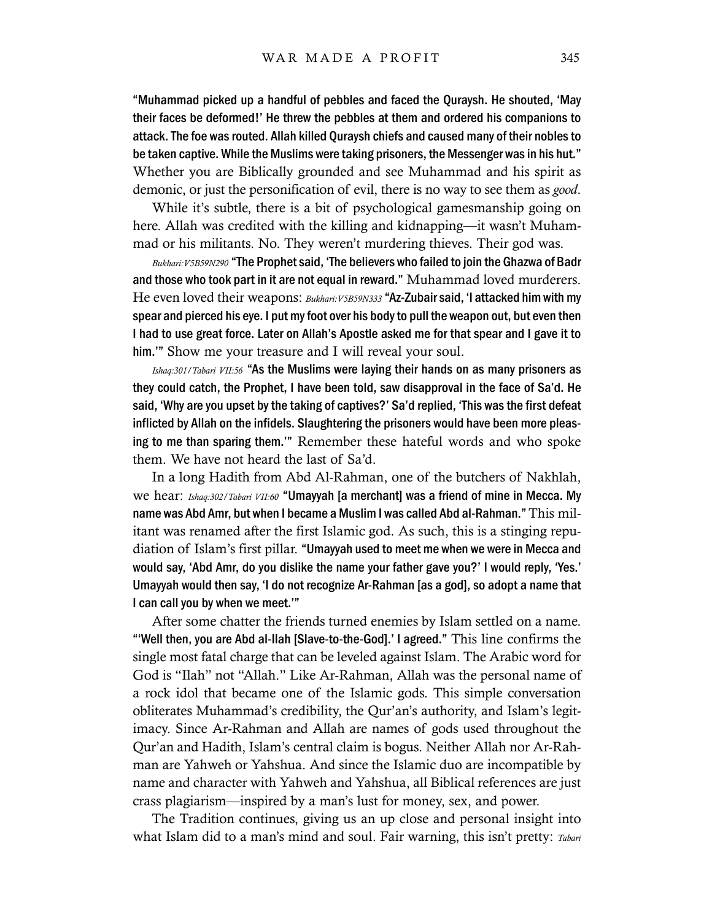"Muhammad picked up a handful of pebbles and faced the Quraysh. He shouted, 'May their faces be deformed!' He threw the pebbles at them and ordered his companions to attack. The foe was routed. Allah killed Quraysh chiefs and caused many of their nobles to be taken captive. While the Muslims were taking prisoners, the Messenger was in his hut." Whether you are Biblically grounded and see Muhammad and his spirit as demonic, or just the personification of evil, there is no way to see them as *good*.

While it's subtle, there is a bit of psychological gamesmanship going on here. Allah was credited with the killing and kidnapping—it wasn't Muhammad or his militants. No. They weren't murdering thieves. Their god was.

*Bukhari:V5B59N290* "The Prophet said, 'The believers who failed to join the Ghazwa of Badr and those who took part in it are not equal in reward." Muhammad loved murderers. He even loved their weapons: *Bukhari:V5B59N333* "Az-Zubair said, 'I attacked him with my spear and pierced his eye. I put my foot over his body to pull the weapon out, but even then I had to use great force. Later on Allah's Apostle asked me for that spear and I gave it to him.'" Show me your treasure and I will reveal your soul.

*Ishaq:301/Tabari VII:56* "As the Muslims were laying their hands on as many prisoners as they could catch, the Prophet, I have been told, saw disapproval in the face of Sa'd. He said, 'Why are you upset by the taking of captives?' Sa'd replied, 'This was the first defeat inflicted by Allah on the infidels. Slaughtering the prisoners would have been more pleasing to me than sparing them.'" Remember these hateful words and who spoke them. We have not heard the last of Sa'd.

In a long Hadith from Abd Al-Rahman, one of the butchers of Nakhlah, we hear: *Ishaq:302/Tabari VII:60* "Umayyah [a merchant] was a friend of mine in Mecca. My name was Abd Amr, but when I became a Muslim I was called Abd al-Rahman." This militant was renamed after the first Islamic god. As such, this is a stinging repudiation of Islam's first pillar. "Umayyah used to meet me when we were in Mecca and would say, 'Abd Amr, do you dislike the name your father gave you?' I would reply, 'Yes.' Umayyah would then say, 'I do not recognize Ar-Rahman [as a god], so adopt a name that I can call you by when we meet.'"

After some chatter the friends turned enemies by Islam settled on a name. "'Well then, you are Abd al-Ilah [Slave-to-the-God].' I agreed." This line confirms the single most fatal charge that can be leveled against Islam. The Arabic word for God is "Ilah" not "Allah." Like Ar-Rahman, Allah was the personal name of a rock idol that became one of the Islamic gods. This simple conversation obliterates Muhammad's credibility, the Qur'an's authority, and Islam's legitimacy. Since Ar-Rahman and Allah are names of gods used throughout the Qur'an and Hadith, Islam's central claim is bogus. Neither Allah nor Ar-Rahman are Yahweh or Yahshua. And since the Islamic duo are incompatible by name and character with Yahweh and Yahshua, all Biblical references are just crass plagiarism—inspired by a man's lust for money, sex, and power.

The Tradition continues, giving us an up close and personal insight into what Islam did to a man's mind and soul. Fair warning, this isn't pretty: *Tabari*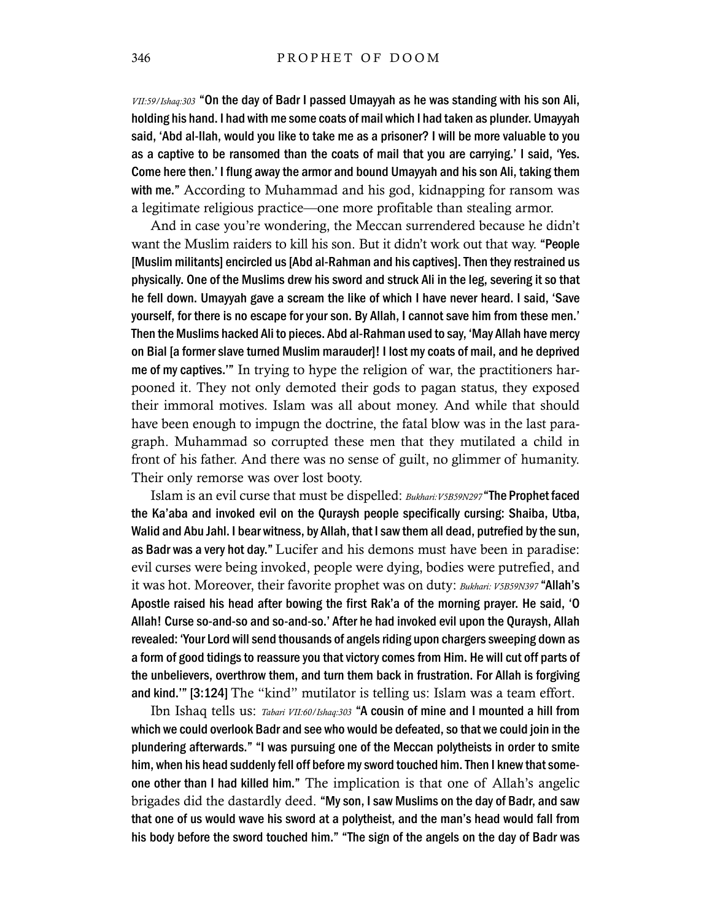*VII:59/Ishaq:303* "On the day of Badr I passed Umayyah as he was standing with his son Ali, holding his hand. I had with me some coats of mail which I had taken as plunder. Umayyah said, 'Abd al-Ilah, would you like to take me as a prisoner? I will be more valuable to you as a captive to be ransomed than the coats of mail that you are carrying.' I said, 'Yes. Come here then.' I flung away the armor and bound Umayyah and his son Ali, taking them with me." According to Muhammad and his god, kidnapping for ransom was a legitimate religious practice—one more profitable than stealing armor.

And in case you're wondering, the Meccan surrendered because he didn't want the Muslim raiders to kill his son. But it didn't work out that way. "People [Muslim militants] encircled us [Abd al-Rahman and his captives]. Then they restrained us physically. One of the Muslims drew his sword and struck Ali in the leg, severing it so that he fell down. Umayyah gave a scream the like of which I have never heard. I said, 'Save yourself, for there is no escape for your son. By Allah, I cannot save him from these men.' Then the Muslims hacked Ali to pieces. Abd al-Rahman used to say, 'May Allah have mercy on Bial [a former slave turned Muslim marauder]! I lost my coats of mail, and he deprived me of my captives.'" In trying to hype the religion of war, the practitioners harpooned it. They not only demoted their gods to pagan status, they exposed their immoral motives. Islam was all about money. And while that should have been enough to impugn the doctrine, the fatal blow was in the last paragraph. Muhammad so corrupted these men that they mutilated a child in front of his father. And there was no sense of guilt, no glimmer of humanity. Their only remorse was over lost booty.

Islam is an evil curse that must be dispelled: *Bukhari:V5B59N297* "The Prophet faced the Ka'aba and invoked evil on the Quraysh people specifically cursing: Shaiba, Utba, Walid and Abu Jahl. I bear witness, by Allah, that I saw them all dead, putrefied by the sun, as Badr was a very hot day." Lucifer and his demons must have been in paradise: evil curses were being invoked, people were dying, bodies were putrefied, and it was hot. Moreover, their favorite prophet was on duty: *Bukhari: V5B59N397* "Allah's Apostle raised his head after bowing the first Rak'a of the morning prayer. He said, 'O Allah! Curse so-and-so and so-and-so.' After he had invoked evil upon the Quraysh, Allah revealed: 'Your Lord will send thousands of angels riding upon chargers sweeping down as a form of good tidings to reassure you that victory comes from Him. He will cut off parts of the unbelievers, overthrow them, and turn them back in frustration. For Allah is forgiving and kind.'" [3:124] The "kind" mutilator is telling us: Islam was a team effort.

Ibn Ishaq tells us: *Tabari VII:60/Ishaq:303* "A cousin of mine and I mounted a hill from which we could overlook Badr and see who would be defeated, so that we could join in the plundering afterwards." "I was pursuing one of the Meccan polytheists in order to smite him, when his head suddenly fell off before my sword touched him. Then I knew that someone other than I had killed him." The implication is that one of Allah's angelic brigades did the dastardly deed. "My son, I saw Muslims on the day of Badr, and saw that one of us would wave his sword at a polytheist, and the man's head would fall from his body before the sword touched him." "The sign of the angels on the day of Badr was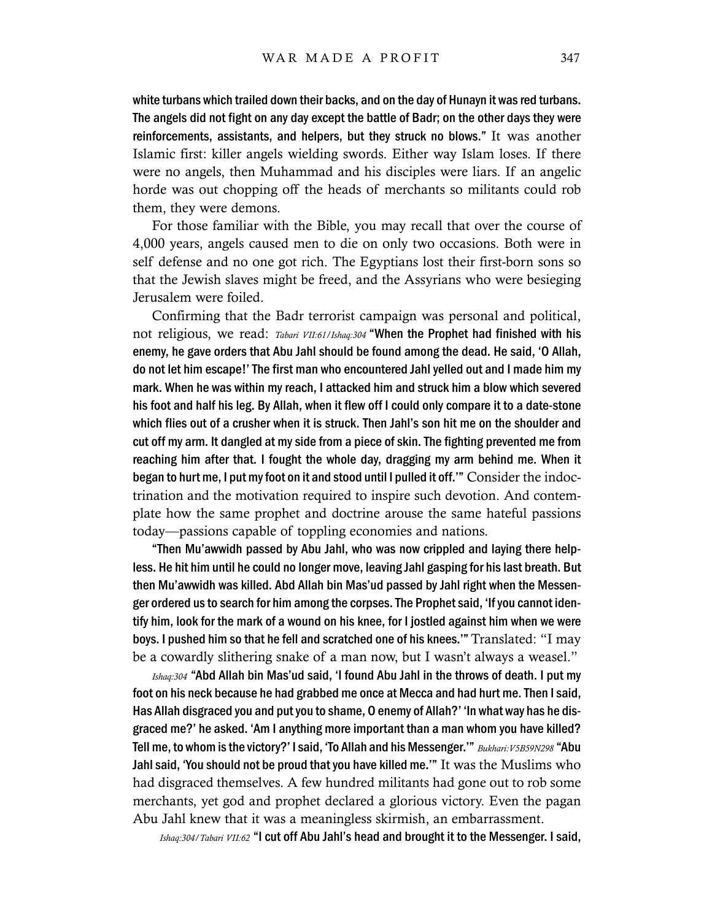white turbans which trailed down their backs, and on the day of Hunayn it was red turbans. The angels did not fight on any day except the battle of Badr; on the other days they were reinforcements, assistants, and helpers, but they struck no blows." It was another Islamic first: killer angels wielding swords. Either way Islam loses. If there were no angels, then Muhammad and his disciples were liars. If an angelic horde was out chopping off the heads of merchants so militants could rob them, they were demons.

For those familiar with the Bible, you may recall that over the course of 4,000 years, angels caused men to die on only two occasions. Both were in self defense and no one got rich. The Egyptians lost their first-born sons so that the Jewish slaves might be freed, and the Assyrians who were besieging Jerusalem were foiled.

Confirming that the Badr terrorist campaign was personal and political, not religious, we read: *Tabari VII:61/Ishaq:304* "When the Prophet had finished with his enemy, he gave orders that Abu Jahl should be found among the dead. He said, 'O Allah, do not let him escape!' The first man who encountered Jahl yelled out and I made him my mark. When he was within my reach, I attacked him and struck him a blow which severed his foot and half his leg. By Allah, when it flew off I could only compare it to a date-stone which flies out of a crusher when it is struck. Then Jahl's son hit me on the shoulder and cut off my arm. It dangled at my side from a piece of skin. The fighting prevented me from reaching him after that. I fought the whole day, dragging my arm behind me. When it began to hurt me, I put my foot on it and stood until I pulled it off.'" Consider the indoctrination and the motivation required to inspire such devotion. And contemplate how the same prophet and doctrine arouse the same hateful passions today—passions capable of toppling economies and nations.

"Then Mu'awwidh passed by Abu Jahl, who was now crippled and laying there helpless. He hit him until he could no longer move, leaving Jahl gasping for his last breath. But then Mu'awwidh was killed. Abd Allah bin Mas'ud passed by Jahl right when the Messenger ordered us to search for him among the corpses. The Prophet said, 'If you cannot identify him, look for the mark of a wound on his knee, for I jostled against him when we were boys. I pushed him so that he fell and scratched one of his knees.'" Translated: "I may be a cowardly slithering snake of a man now, but I wasn't always a weasel."

*Ishaq:304* "Abd Allah bin Mas'ud said, 'I found Abu Jahl in the throws of death. I put my foot on his neck because he had grabbed me once at Mecca and had hurt me. Then I said, Has Allah disgraced you and put you to shame, O enemy of Allah?' 'In what way has he disgraced me?' he asked. 'Am I anything more important than a man whom you have killed? Tell me, to whom is the victory?' I said, 'To Allah and his Messenger.'" **Bukhari:V5B59N298** "Abu Jahl said, 'You should not be proud that you have killed me.'" It was the Muslims who had disgraced themselves. A few hundred militants had gone out to rob some merchants, yet god and prophet declared a glorious victory. Even the pagan Abu Jahl knew that it was a meaningless skirmish, an embarrassment.

*Ishaq:304/Tabari VII:62* "I cut off Abu Jahl's head and brought it to the Messenger. I said,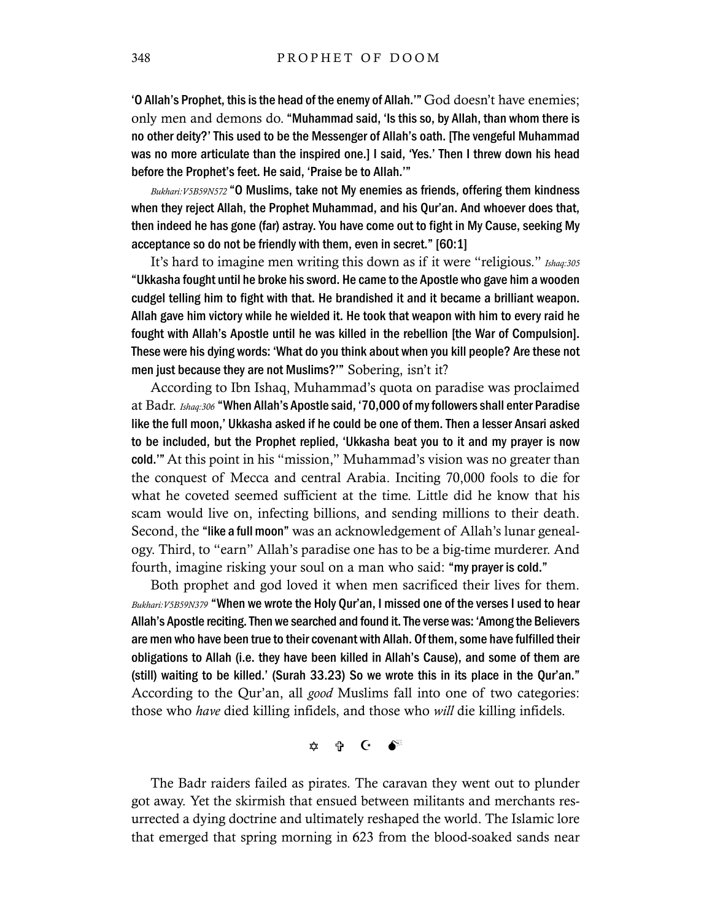'O Allah's Prophet, this is the head of the enemy of Allah.'" God doesn't have enemies; only men and demons do. "Muhammad said, 'Is this so, by Allah, than whom there is no other deity?' This used to be the Messenger of Allah's oath. [The vengeful Muhammad was no more articulate than the inspired one.] I said, 'Yes.' Then I threw down his head before the Prophet's feet. He said, 'Praise be to Allah.'"

*Bukhari:V5B59N572* "O Muslims, take not My enemies as friends, offering them kindness when they reject Allah, the Prophet Muhammad, and his Qur'an. And whoever does that, then indeed he has gone (far) astray. You have come out to fight in My Cause, seeking My acceptance so do not be friendly with them, even in secret." [60:1]

It's hard to imagine men writing this down as if it were "religious." *Ishaq:305* "Ukkasha fought until he broke his sword. He came to the Apostle who gave him a wooden cudgel telling him to fight with that. He brandished it and it became a brilliant weapon. Allah gave him victory while he wielded it. He took that weapon with him to every raid he fought with Allah's Apostle until he was killed in the rebellion [the War of Compulsion]. These were his dying words: 'What do you think about when you kill people? Are these not men just because they are not Muslims?'" Sobering, isn't it?

According to Ibn Ishaq, Muhammad's quota on paradise was proclaimed at Badr. *Ishaq:306* "When Allah's Apostle said, '70,000 of my followers shall enter Paradise like the full moon,' Ukkasha asked if he could be one of them. Then a lesser Ansari asked to be included, but the Prophet replied, 'Ukkasha beat you to it and my prayer is now cold.'" At this point in his "mission," Muhammad's vision was no greater than the conquest of Mecca and central Arabia. Inciting 70,000 fools to die for what he coveted seemed sufficient at the time. Little did he know that his scam would live on, infecting billions, and sending millions to their death. Second, the "like a full moon" was an acknowledgement of Allah's lunar genealogy. Third, to "earn" Allah's paradise one has to be a big-time murderer. And fourth, imagine risking your soul on a man who said: "my prayer is cold."

Both prophet and god loved it when men sacrificed their lives for them. *Bukhari:V5B59N379* "When we wrote the Holy Qur'an, I missed one of the verses I used to hear Allah's Apostle reciting. Then we searched and found it. The verse was: 'Among the Believers are men who have been true to their covenant with Allah. Of them, some have fulfilled their obligations to Allah (i.e. they have been killed in Allah's Cause), and some of them are (still) waiting to be killed.' (Surah 33.23) So we wrote this in its place in the Qur'an." According to the Qur'an, all *good* Muslims fall into one of two categories: those who *have* died killing infidels, and those who *will* die killing infidels.

 $\uplus$   $\uplus$   $\uplus$   $\uplus$   $\uplus$ 

The Badr raiders failed as pirates. The caravan they went out to plunder got away. Yet the skirmish that ensued between militants and merchants resurrected a dying doctrine and ultimately reshaped the world. The Islamic lore that emerged that spring morning in 623 from the blood-soaked sands near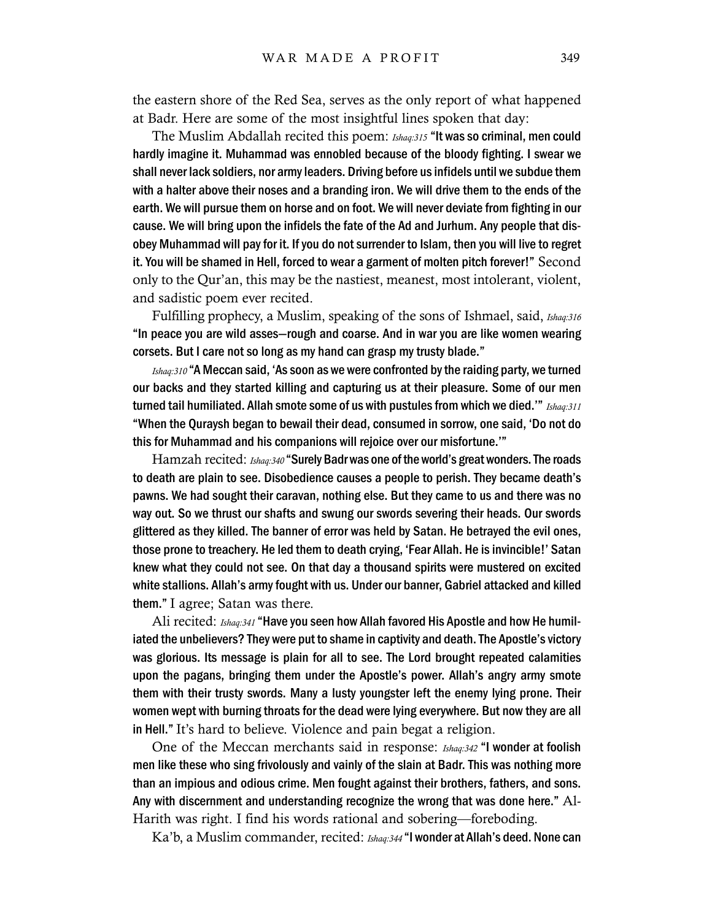the eastern shore of the Red Sea, serves as the only report of what happened at Badr. Here are some of the most insightful lines spoken that day:

The Muslim Abdallah recited this poem: *Ishaq:315* "It was so criminal, men could hardly imagine it. Muhammad was ennobled because of the bloody fighting. I swear we shall never lack soldiers, nor army leaders. Driving before us infidels until we subdue them with a halter above their noses and a branding iron. We will drive them to the ends of the earth. We will pursue them on horse and on foot. We will never deviate from fighting in our cause. We will bring upon the infidels the fate of the Ad and Jurhum. Any people that disobey Muhammad will pay for it. If you do not surrender to Islam, then you will live to regret it. You will be shamed in Hell, forced to wear a garment of molten pitch forever!" Second only to the Qur'an, this may be the nastiest, meanest, most intolerant, violent, and sadistic poem ever recited.

Fulfilling prophecy, a Muslim, speaking of the sons of Ishmael, said, *Ishaq:316* "In peace you are wild asses—rough and coarse. And in war you are like women wearing corsets. But I care not so long as my hand can grasp my trusty blade."

*Ishaq:310* "A Meccan said, 'As soon as we were confronted by the raiding party, we turned our backs and they started killing and capturing us at their pleasure. Some of our men turned tail humiliated. Allah smote some of us with pustules from which we died.'" *Ishaq:311* "When the Quraysh began to bewail their dead, consumed in sorrow, one said, 'Do not do this for Muhammad and his companions will rejoice over our misfortune.'"

Hamzah recited: *Ishaq:340* "Surely Badr was one of the world's great wonders. The roads to death are plain to see. Disobedience causes a people to perish. They became death's pawns. We had sought their caravan, nothing else. But they came to us and there was no way out. So we thrust our shafts and swung our swords severing their heads. Our swords glittered as they killed. The banner of error was held by Satan. He betrayed the evil ones, those prone to treachery. He led them to death crying, 'Fear Allah. He is invincible!' Satan knew what they could not see. On that day a thousand spirits were mustered on excited white stallions. Allah's army fought with us. Under our banner, Gabriel attacked and killed them." I agree; Satan was there.

Ali recited: *Ishaq:341* "Have you seen how Allah favored His Apostle and how He humiliated the unbelievers? They were put to shame in captivity and death. The Apostle's victory was glorious. Its message is plain for all to see. The Lord brought repeated calamities upon the pagans, bringing them under the Apostle's power. Allah's angry army smote them with their trusty swords. Many a lusty youngster left the enemy lying prone. Their women wept with burning throats for the dead were lying everywhere. But now they are all in Hell." It's hard to believe. Violence and pain begat a religion.

One of the Meccan merchants said in response: *Ishaq:342* "I wonder at foolish men like these who sing frivolously and vainly of the slain at Badr. This was nothing more than an impious and odious crime. Men fought against their brothers, fathers, and sons. Any with discernment and understanding recognize the wrong that was done here." Al-Harith was right. I find his words rational and sobering—foreboding.

Ka'b, a Muslim commander, recited: *Ishaq:344* "I wonder at Allah's deed. None can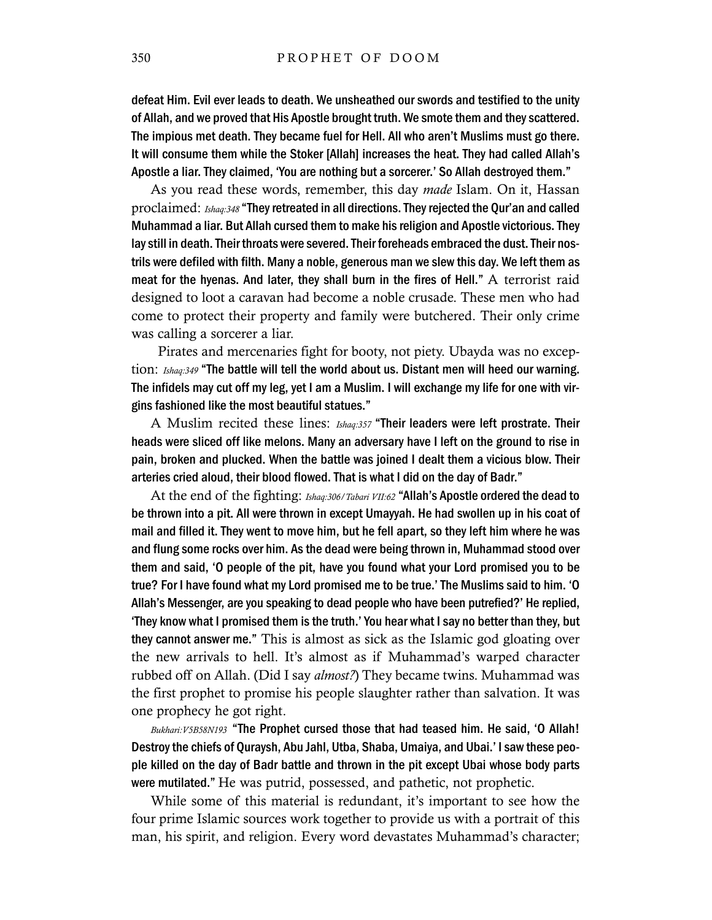defeat Him. Evil ever leads to death. We unsheathed our swords and testified to the unity of Allah, and we proved that His Apostle brought truth. We smote them and they scattered. The impious met death. They became fuel for Hell. All who aren't Muslims must go there. It will consume them while the Stoker [Allah] increases the heat. They had called Allah's Apostle a liar. They claimed, 'You are nothing but a sorcerer.' So Allah destroyed them."

As you read these words, remember, this day *made* Islam. On it, Hassan proclaimed: *Ishaq:348* "They retreated in all directions. They rejected the Qur'an and called Muhammad a liar. But Allah cursed them to make his religion and Apostle victorious. They lay still in death. Their throats were severed. Their foreheads embraced the dust. Their nostrils were defiled with filth. Many a noble, generous man we slew this day. We left them as meat for the hyenas. And later, they shall burn in the fires of Hell." A terrorist raid designed to loot a caravan had become a noble crusade. These men who had come to protect their property and family were butchered. Their only crime was calling a sorcerer a liar.

Pirates and mercenaries fight for booty, not piety. Ubayda was no exception: *Ishaq:349* "The battle will tell the world about us. Distant men will heed our warning. The infidels may cut off my leg, yet I am a Muslim. I will exchange my life for one with virgins fashioned like the most beautiful statues."

A Muslim recited these lines: *Ishaq:357* "Their leaders were left prostrate. Their heads were sliced off like melons. Many an adversary have I left on the ground to rise in pain, broken and plucked. When the battle was joined I dealt them a vicious blow. Their arteries cried aloud, their blood flowed. That is what I did on the day of Badr."

At the end of the fighting: *Ishaq:306/Tabari VII:62* "Allah's Apostle ordered the dead to be thrown into a pit. All were thrown in except Umayyah. He had swollen up in his coat of mail and filled it. They went to move him, but he fell apart, so they left him where he was and flung some rocks over him. As the dead were being thrown in, Muhammad stood over them and said, 'O people of the pit, have you found what your Lord promised you to be true? For I have found what my Lord promised me to be true.' The Muslims said to him. 'O Allah's Messenger, are you speaking to dead people who have been putrefied?' He replied, 'They know what I promised them is the truth.' You hear what I say no better than they, but they cannot answer me." This is almost as sick as the Islamic god gloating over the new arrivals to hell. It's almost as if Muhammad's warped character rubbed off on Allah. (Did I say *almost?*) They became twins. Muhammad was the first prophet to promise his people slaughter rather than salvation. It was one prophecy he got right.

*Bukhari:V5B58N193* "The Prophet cursed those that had teased him. He said, 'O Allah! Destroy the chiefs of Quraysh, Abu Jahl, Utba, Shaba, Umaiya, and Ubai.' I saw these people killed on the day of Badr battle and thrown in the pit except Ubai whose body parts were mutilated." He was putrid, possessed, and pathetic, not prophetic.

While some of this material is redundant, it's important to see how the four prime Islamic sources work together to provide us with a portrait of this man, his spirit, and religion. Every word devastates Muhammad's character;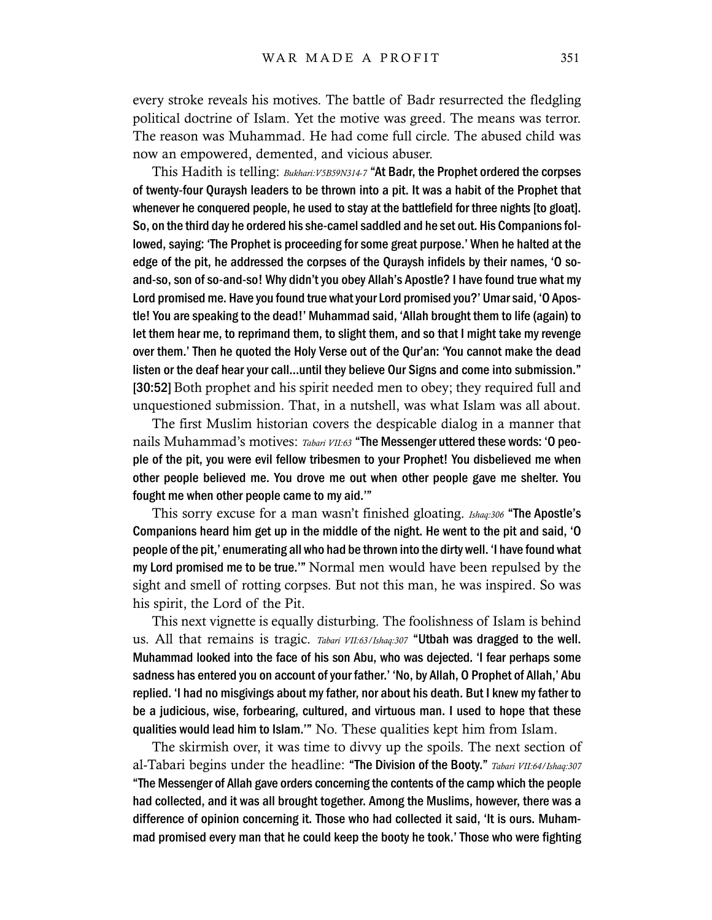every stroke reveals his motives. The battle of Badr resurrected the fledgling political doctrine of Islam. Yet the motive was greed. The means was terror. The reason was Muhammad. He had come full circle. The abused child was now an empowered, demented, and vicious abuser.

This Hadith is telling: *Bukhari:V5B59N314-7* "At Badr, the Prophet ordered the corpses of twenty-four Quraysh leaders to be thrown into a pit. It was a habit of the Prophet that whenever he conquered people, he used to stay at the battlefield for three nights [to gloat]. So, on the third day he ordered his she-camel saddled and he set out. His Companions followed, saying: 'The Prophet is proceeding for some great purpose.' When he halted at the edge of the pit, he addressed the corpses of the Quraysh infidels by their names, 'O soand-so, son of so-and-so! Why didn't you obey Allah's Apostle? I have found true what my Lord promised me. Have you found true what your Lord promised you?' Umar said, 'O Apostle! You are speaking to the dead!' Muhammad said, 'Allah brought them to life (again) to let them hear me, to reprimand them, to slight them, and so that I might take my revenge over them.' Then he quoted the Holy Verse out of the Qur'an: 'You cannot make the dead listen or the deaf hear your call…until they believe Our Signs and come into submission." [30:52] Both prophet and his spirit needed men to obey; they required full and unquestioned submission. That, in a nutshell, was what Islam was all about.

The first Muslim historian covers the despicable dialog in a manner that nails Muhammad's motives: *Tabari VII:63* "The Messenger uttered these words: 'O people of the pit, you were evil fellow tribesmen to your Prophet! You disbelieved me when other people believed me. You drove me out when other people gave me shelter. You fought me when other people came to my aid.'"

This sorry excuse for a man wasn't finished gloating. *Ishaq:306* "The Apostle's Companions heard him get up in the middle of the night. He went to the pit and said, 'O people of the pit,' enumerating all who had be thrown into the dirty well. 'I have found what my Lord promised me to be true.'" Normal men would have been repulsed by the sight and smell of rotting corpses. But not this man, he was inspired. So was his spirit, the Lord of the Pit.

This next vignette is equally disturbing. The foolishness of Islam is behind us. All that remains is tragic. *Tabari VII:63/Ishaq:307* "Utbah was dragged to the well. Muhammad looked into the face of his son Abu, who was dejected. 'I fear perhaps some sadness has entered you on account of your father.' 'No, by Allah, O Prophet of Allah,' Abu replied. 'I had no misgivings about my father, nor about his death. But I knew my father to be a judicious, wise, forbearing, cultured, and virtuous man. I used to hope that these qualities would lead him to Islam.'" No. These qualities kept him from Islam.

The skirmish over, it was time to divvy up the spoils. The next section of al-Tabari begins under the headline: "The Division of the Booty." *Tabari VII:64/Ishaq:307* "The Messenger of Allah gave orders concerning the contents of the camp which the people had collected, and it was all brought together. Among the Muslims, however, there was a difference of opinion concerning it. Those who had collected it said, 'It is ours. Muhammad promised every man that he could keep the booty he took.' Those who were fighting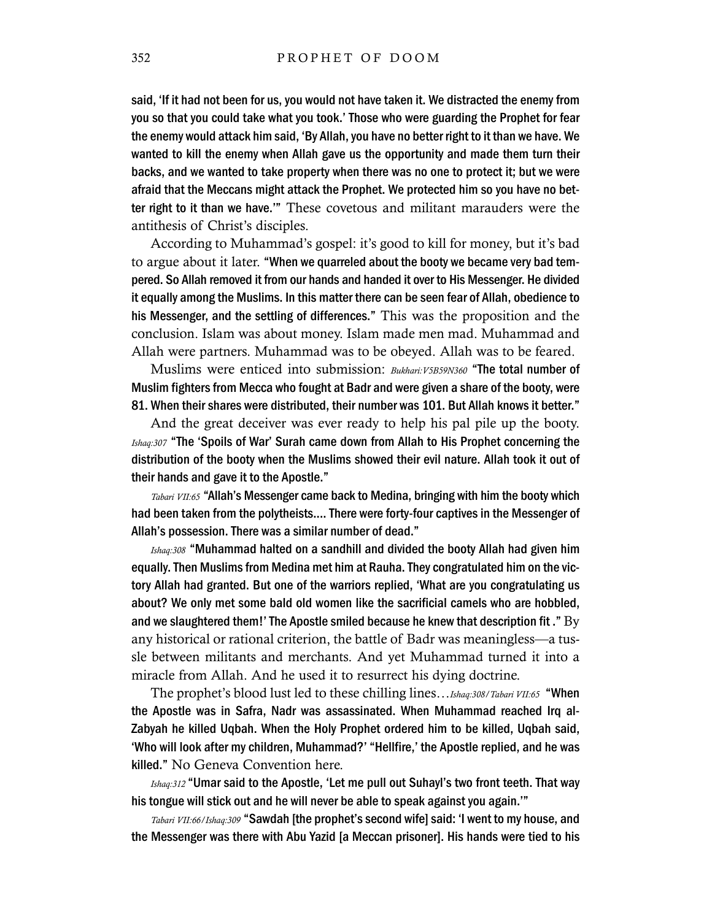said, 'If it had not been for us, you would not have taken it. We distracted the enemy from you so that you could take what you took.' Those who were guarding the Prophet for fear the enemy would attack him said, 'By Allah, you have no better right to it than we have. We wanted to kill the enemy when Allah gave us the opportunity and made them turn their backs, and we wanted to take property when there was no one to protect it; but we were afraid that the Meccans might attack the Prophet. We protected him so you have no better right to it than we have.'" These covetous and militant marauders were the antithesis of Christ's disciples.

According to Muhammad's gospel: it's good to kill for money, but it's bad to argue about it later. "When we quarreled about the booty we became very bad tempered. So Allah removed it from our hands and handed it over to His Messenger. He divided it equally among the Muslims. In this matter there can be seen fear of Allah, obedience to his Messenger, and the settling of differences." This was the proposition and the conclusion. Islam was about money. Islam made men mad. Muhammad and Allah were partners. Muhammad was to be obeyed. Allah was to be feared.

Muslims were enticed into submission: *Bukhari:V5B59N360* "The total number of Muslim fighters from Mecca who fought at Badr and were given a share of the booty, were 81. When their shares were distributed, their number was 101. But Allah knows it better."

And the great deceiver was ever ready to help his pal pile up the booty. *Ishaq:307* "The 'Spoils of War' Surah came down from Allah to His Prophet concerning the distribution of the booty when the Muslims showed their evil nature. Allah took it out of their hands and gave it to the Apostle."

*Tabari VII:65* "Allah's Messenger came back to Medina, bringing with him the booty which had been taken from the polytheists.... There were forty-four captives in the Messenger of Allah's possession. There was a similar number of dead."

*Ishaq:308* "Muhammad halted on a sandhill and divided the booty Allah had given him equally. Then Muslims from Medina met him at Rauha. They congratulated him on the victory Allah had granted. But one of the warriors replied, 'What are you congratulating us about? We only met some bald old women like the sacrificial camels who are hobbled, and we slaughtered them!' The Apostle smiled because he knew that description fit ." By any historical or rational criterion, the battle of Badr was meaningless—a tussle between militants and merchants. And yet Muhammad turned it into a miracle from Allah. And he used it to resurrect his dying doctrine.

The prophet's blood lust led to these chilling lines…*Ishaq:308/Tabari VII:65* "When the Apostle was in Safra, Nadr was assassinated. When Muhammad reached Irq al-Zabyah he killed Uqbah. When the Holy Prophet ordered him to be killed, Uqbah said, 'Who will look after my children, Muhammad?' "Hellfire,' the Apostle replied, and he was killed." No Geneva Convention here.

*Ishaq:312* "Umar said to the Apostle, 'Let me pull out Suhayl's two front teeth. That way his tongue will stick out and he will never be able to speak against you again."

*Tabari VII:66/Ishaq:309* "Sawdah [the prophet's second wife] said: 'I went to my house, and the Messenger was there with Abu Yazid [a Meccan prisoner]. His hands were tied to his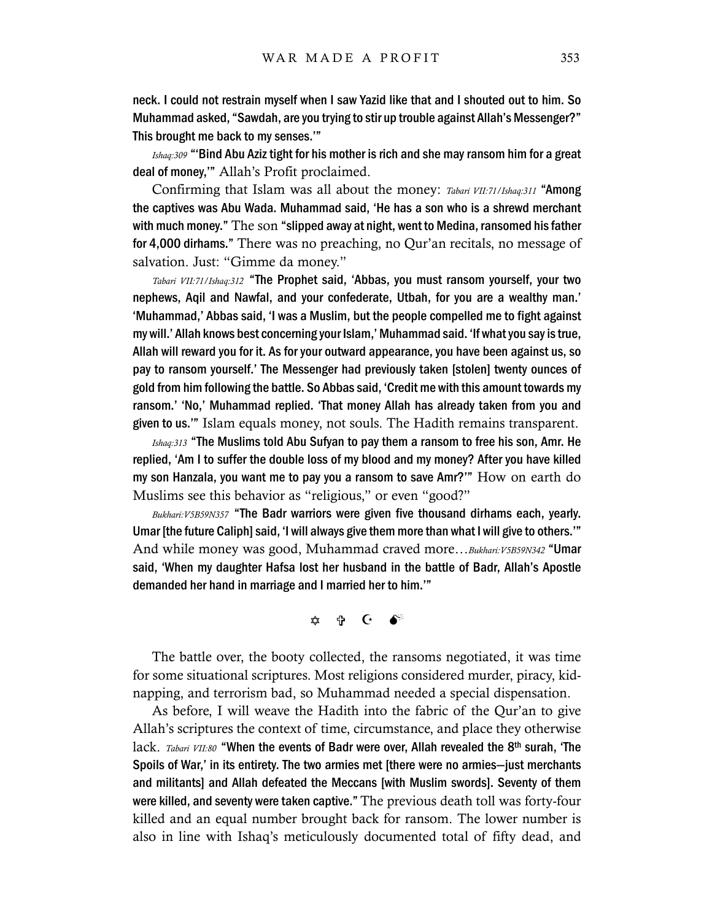neck. I could not restrain myself when I saw Yazid like that and I shouted out to him. So Muhammad asked, "Sawdah, are you trying to stir up trouble against Allah's Messenger?" This brought me back to my senses.'"

*Ishaq:309* "'Bind Abu Aziz tight for his mother is rich and she may ransom him for a great deal of money,'" Allah's Profit proclaimed.

Confirming that Islam was all about the money: *Tabari VII:71/Ishaq:311* "Among the captives was Abu Wada. Muhammad said, 'He has a son who is a shrewd merchant with much money." The son "slipped away at night, went to Medina, ransomed his father for 4,000 dirhams." There was no preaching, no Qur'an recitals, no message of salvation. Just: "Gimme da money."

*Tabari VII:71/Ishaq:312* "The Prophet said, 'Abbas, you must ransom yourself, your two nephews, Aqil and Nawfal, and your confederate, Utbah, for you are a wealthy man.' 'Muhammad,' Abbas said, 'I was a Muslim, but the people compelled me to fight against my will.' Allah knows best concerning your Islam,' Muhammad said. 'If what you say is true, Allah will reward you for it. As for your outward appearance, you have been against us, so pay to ransom yourself.' The Messenger had previously taken [stolen] twenty ounces of gold from him following the battle. So Abbas said, 'Credit me with this amount towards my ransom.' 'No,' Muhammad replied. 'That money Allah has already taken from you and given to us.'" Islam equals money, not souls. The Hadith remains transparent.

*Ishaq:313* "The Muslims told Abu Sufyan to pay them a ransom to free his son, Amr. He replied, 'Am I to suffer the double loss of my blood and my money? After you have killed my son Hanzala, you want me to pay you a ransom to save Amr?'" How on earth do Muslims see this behavior as "religious," or even "good?"

*Bukhari:V5B59N357* "The Badr warriors were given five thousand dirhams each, yearly. Umar [the future Caliph] said, 'I will always give them more than what I will give to others.'" And while money was good, Muhammad craved more...Bukhari:V5B59N342 "Umar said, 'When my daughter Hafsa lost her husband in the battle of Badr, Allah's Apostle demanded her hand in marriage and I married her to him.'"

**☆ ☆ C** 

The battle over, the booty collected, the ransoms negotiated, it was time for some situational scriptures. Most religions considered murder, piracy, kidnapping, and terrorism bad, so Muhammad needed a special dispensation.

As before, I will weave the Hadith into the fabric of the Qur'an to give Allah's scriptures the context of time, circumstance, and place they otherwise lack. *Tabari VII:80* "When the events of Badr were over, Allah revealed the 8<sup>th</sup> surah, 'The Spoils of War,' in its entirety. The two armies met [there were no armies—just merchants and militants] and Allah defeated the Meccans [with Muslim swords]. Seventy of them were killed, and seventy were taken captive." The previous death toll was forty-four killed and an equal number brought back for ransom. The lower number is also in line with Ishaq's meticulously documented total of fifty dead, and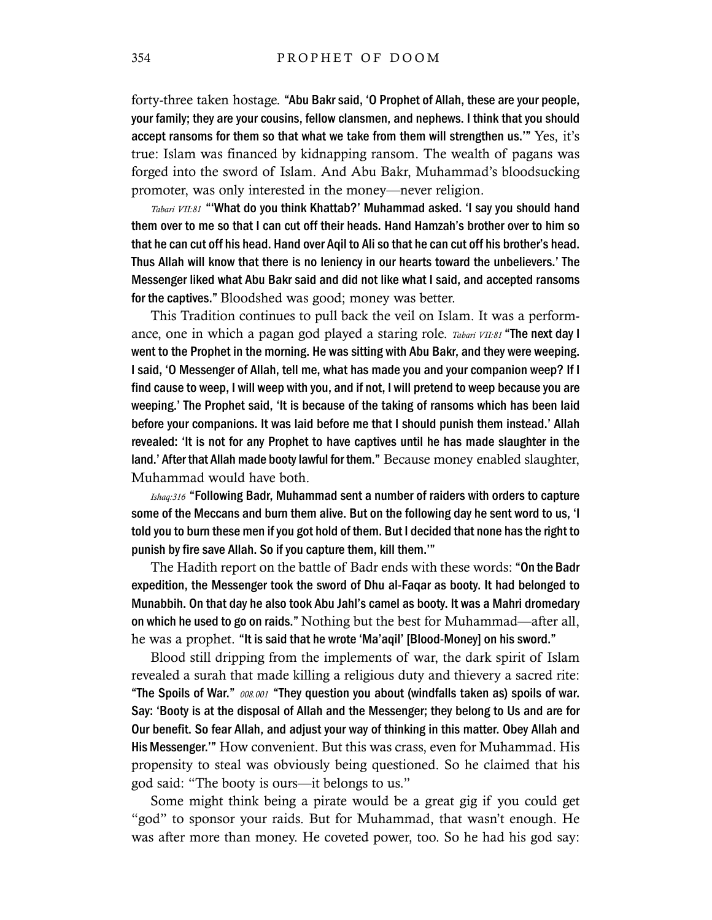forty-three taken hostage. "Abu Bakr said, 'O Prophet of Allah, these are your people, your family; they are your cousins, fellow clansmen, and nephews. I think that you should accept ransoms for them so that what we take from them will strengthen us.'" Yes, it's true: Islam was financed by kidnapping ransom. The wealth of pagans was forged into the sword of Islam. And Abu Bakr, Muhammad's bloodsucking promoter, was only interested in the money—never religion.

*Tabari VII:81* "'What do you think Khattab?' Muhammad asked. 'I say you should hand them over to me so that I can cut off their heads. Hand Hamzah's brother over to him so that he can cut off his head. Hand over Aqil to Ali so that he can cut off his brother's head. Thus Allah will know that there is no leniency in our hearts toward the unbelievers.' The Messenger liked what Abu Bakr said and did not like what I said, and accepted ransoms for the captives." Bloodshed was good; money was better.

This Tradition continues to pull back the veil on Islam. It was a performance, one in which a pagan god played a staring role. *Tabari VII:81* "The next day I went to the Prophet in the morning. He was sitting with Abu Bakr, and they were weeping. I said, 'O Messenger of Allah, tell me, what has made you and your companion weep? If I find cause to weep, I will weep with you, and if not, I will pretend to weep because you are weeping.' The Prophet said, 'It is because of the taking of ransoms which has been laid before your companions. It was laid before me that I should punish them instead.' Allah revealed: 'It is not for any Prophet to have captives until he has made slaughter in the land.' After that Allah made booty lawful for them." Because money enabled slaughter, Muhammad would have both.

*Ishaq:316* "Following Badr, Muhammad sent a number of raiders with orders to capture some of the Meccans and burn them alive. But on the following day he sent word to us, 'I told you to burn these men if you got hold of them. But I decided that none has the right to punish by fire save Allah. So if you capture them, kill them.'"

The Hadith report on the battle of Badr ends with these words: "On the Badr expedition, the Messenger took the sword of Dhu al-Faqar as booty. It had belonged to Munabbih. On that day he also took Abu Jahl's camel as booty. It was a Mahri dromedary on which he used to go on raids." Nothing but the best for Muhammad—after all, he was a prophet. "It is said that he wrote 'Ma'aqil' [Blood-Money] on his sword."

Blood still dripping from the implements of war, the dark spirit of Islam revealed a surah that made killing a religious duty and thievery a sacred rite: "The Spoils of War." *008.001* "They question you about (windfalls taken as) spoils of war. Say: 'Booty is at the disposal of Allah and the Messenger; they belong to Us and are for Our benefit. So fear Allah, and adjust your way of thinking in this matter. Obey Allah and His Messenger.'" How convenient. But this was crass, even for Muhammad. His propensity to steal was obviously being questioned. So he claimed that his god said: "The booty is ours—it belongs to us."

Some might think being a pirate would be a great gig if you could get "god" to sponsor your raids. But for Muhammad, that wasn't enough. He was after more than money. He coveted power, too. So he had his god say: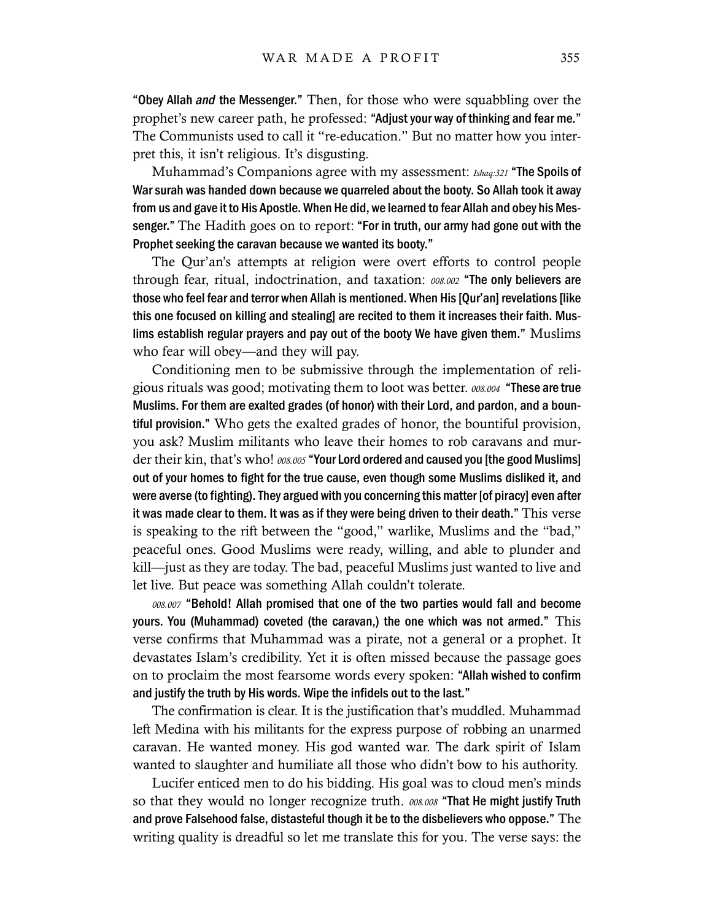"Obey Allah and the Messenger." Then, for those who were squabbling over the prophet's new career path, he professed: "Adjust your way of thinking and fear me." The Communists used to call it "re-education." But no matter how you interpret this, it isn't religious. It's disgusting.

Muhammad's Companions agree with my assessment: *Ishaq:321* "The Spoils of War surah was handed down because we quarreled about the booty. So Allah took it away from us and gave it to His Apostle. When He did, we learned to fear Allah and obey his Messenger." The Hadith goes on to report: "For in truth, our army had gone out with the Prophet seeking the caravan because we wanted its booty."

The Qur'an's attempts at religion were overt efforts to control people through fear, ritual, indoctrination, and taxation: *008.002* "The only believers are those who feel fear and terror when Allah is mentioned. When His [Qur'an] revelations [like this one focused on killing and stealing] are recited to them it increases their faith. Muslims establish regular prayers and pay out of the booty We have given them." Muslims who fear will obey—and they will pay.

Conditioning men to be submissive through the implementation of religious rituals was good; motivating them to loot was better. *008.004* "These are true Muslims. For them are exalted grades (of honor) with their Lord, and pardon, and a bountiful provision." Who gets the exalted grades of honor, the bountiful provision, you ask? Muslim militants who leave their homes to rob caravans and murder their kin, that's who! *008.005* "Your Lord ordered and caused you [the good Muslims] out of your homes to fight for the true cause, even though some Muslims disliked it, and were averse (to fighting). They argued with you concerning this matter [of piracy] even after it was made clear to them. It was as if they were being driven to their death." This verse is speaking to the rift between the "good," warlike, Muslims and the "bad," peaceful ones. Good Muslims were ready, willing, and able to plunder and kill—just as they are today. The bad, peaceful Muslims just wanted to live and let live. But peace was something Allah couldn't tolerate.

*008.007* "Behold! Allah promised that one of the two parties would fall and become yours. You (Muhammad) coveted (the caravan,) the one which was not armed." This verse confirms that Muhammad was a pirate, not a general or a prophet. It devastates Islam's credibility. Yet it is often missed because the passage goes on to proclaim the most fearsome words every spoken: "Allah wished to confirm and justify the truth by His words. Wipe the infidels out to the last."

The confirmation is clear. It is the justification that's muddled. Muhammad left Medina with his militants for the express purpose of robbing an unarmed caravan. He wanted money. His god wanted war. The dark spirit of Islam wanted to slaughter and humiliate all those who didn't bow to his authority.

Lucifer enticed men to do his bidding. His goal was to cloud men's minds so that they would no longer recognize truth. *008.008* "That He might justify Truth and prove Falsehood false, distasteful though it be to the disbelievers who oppose." The writing quality is dreadful so let me translate this for you. The verse says: the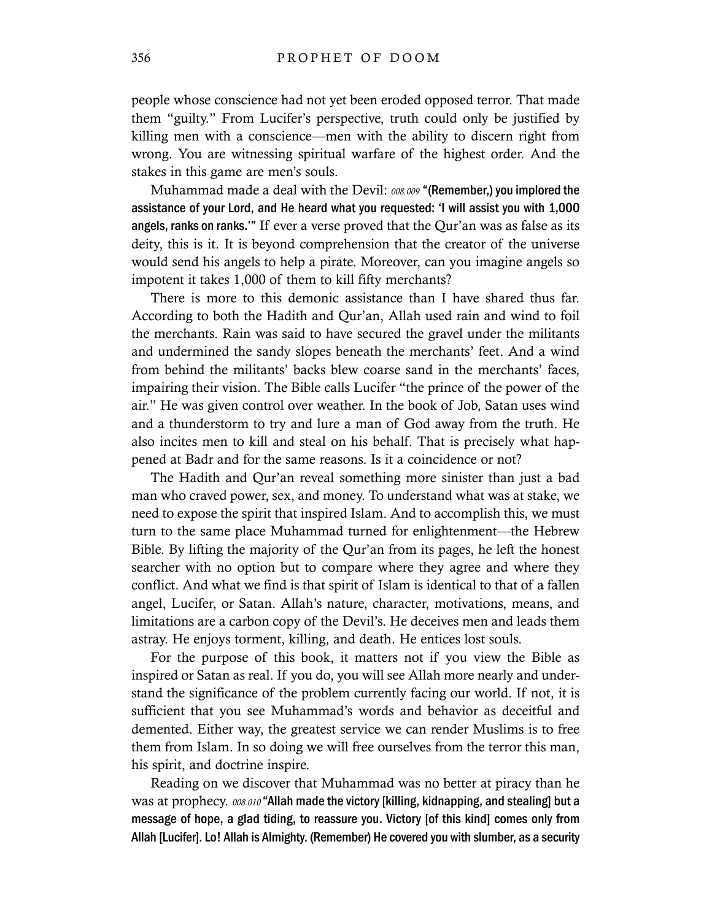people whose conscience had not yet been eroded opposed terror. That made them "guilty." From Lucifer's perspective, truth could only be justified by killing men with a conscience—men with the ability to discern right from wrong. You are witnessing spiritual warfare of the highest order. And the stakes in this game are men's souls.

Muhammad made a deal with the Devil: *008.009* "(Remember,) you implored the assistance of your Lord, and He heard what you requested: 'I will assist you with 1,000 angels, ranks on ranks.'" If ever a verse proved that the Qur'an was as false as its deity, this is it. It is beyond comprehension that the creator of the universe would send his angels to help a pirate. Moreover, can you imagine angels so impotent it takes 1,000 of them to kill fifty merchants?

There is more to this demonic assistance than I have shared thus far. According to both the Hadith and Qur'an, Allah used rain and wind to foil the merchants. Rain was said to have secured the gravel under the militants and undermined the sandy slopes beneath the merchants' feet. And a wind from behind the militants' backs blew coarse sand in the merchants' faces, impairing their vision. The Bible calls Lucifer "the prince of the power of the air." He was given control over weather. In the book of Job, Satan uses wind and a thunderstorm to try and lure a man of God away from the truth. He also incites men to kill and steal on his behalf. That is precisely what happened at Badr and for the same reasons. Is it a coincidence or not?

The Hadith and Qur'an reveal something more sinister than just a bad man who craved power, sex, and money. To understand what was at stake, we need to expose the spirit that inspired Islam. And to accomplish this, we must turn to the same place Muhammad turned for enlightenment—the Hebrew Bible. By lifting the majority of the Qur'an from its pages, he left the honest searcher with no option but to compare where they agree and where they conflict. And what we find is that spirit of Islam is identical to that of a fallen angel, Lucifer, or Satan. Allah's nature, character, motivations, means, and limitations are a carbon copy of the Devil's. He deceives men and leads them astray. He enjoys torment, killing, and death. He entices lost souls.

For the purpose of this book, it matters not if you view the Bible as inspired or Satan as real. If you do, you will see Allah more nearly and understand the significance of the problem currently facing our world. If not, it is sufficient that you see Muhammad's words and behavior as deceitful and demented. Either way, the greatest service we can render Muslims is to free them from Islam. In so doing we will free ourselves from the terror this man, his spirit, and doctrine inspire.

Reading on we discover that Muhammad was no better at piracy than he was at prophecy. *008.010* "Allah made the victory [killing, kidnapping, and stealing] but a message of hope, a glad tiding, to reassure you. Victory [of this kind] comes only from Allah [Lucifer]. Lo! Allah is Almighty. (Remember) He covered you with slumber, as a security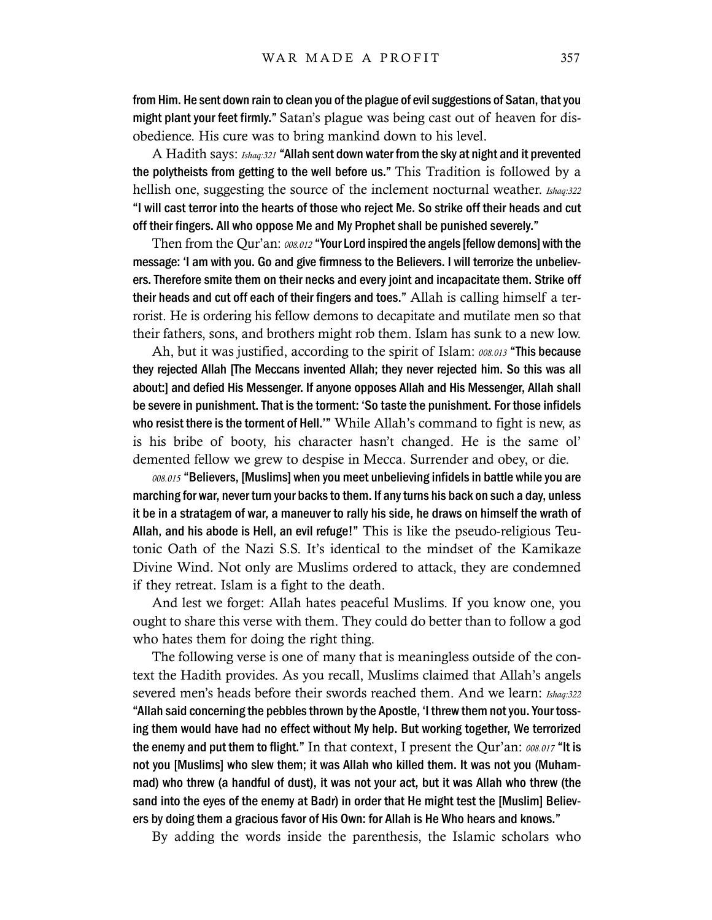from Him. He sent down rain to clean you of the plague of evil suggestions of Satan, that you might plant your feet firmly." Satan's plague was being cast out of heaven for disobedience. His cure was to bring mankind down to his level.

A Hadith says: *Ishaq:321* "Allah sent down water from the sky at night and it prevented the polytheists from getting to the well before us." This Tradition is followed by a hellish one, suggesting the source of the inclement nocturnal weather. *Ishaq:322* "I will cast terror into the hearts of those who reject Me. So strike off their heads and cut off their fingers. All who oppose Me and My Prophet shall be punished severely."

Then from the Qur'an: *008.012* "Your Lord inspired the angels [fellow demons] with the message: 'I am with you. Go and give firmness to the Believers. I will terrorize the unbelievers. Therefore smite them on their necks and every joint and incapacitate them. Strike off their heads and cut off each of their fingers and toes." Allah is calling himself a terrorist. He is ordering his fellow demons to decapitate and mutilate men so that their fathers, sons, and brothers might rob them. Islam has sunk to a new low.

Ah, but it was justified, according to the spirit of Islam: *008.013* "This because they rejected Allah [The Meccans invented Allah; they never rejected him. So this was all about:] and defied His Messenger. If anyone opposes Allah and His Messenger, Allah shall be severe in punishment. That is the torment: 'So taste the punishment. For those infidels who resist there is the torment of Hell.'" While Allah's command to fight is new, as is his bribe of booty, his character hasn't changed. He is the same ol' demented fellow we grew to despise in Mecca. Surrender and obey, or die.

*008.015* "Believers, [Muslims] when you meet unbelieving infidels in battle while you are marching for war, never turn your backs to them. If any turns his back on such a day, unless it be in a stratagem of war, a maneuver to rally his side, he draws on himself the wrath of Allah, and his abode is Hell, an evil refuge!" This is like the pseudo-religious Teutonic Oath of the Nazi S.S. It's identical to the mindset of the Kamikaze Divine Wind. Not only are Muslims ordered to attack, they are condemned if they retreat. Islam is a fight to the death.

And lest we forget: Allah hates peaceful Muslims. If you know one, you ought to share this verse with them. They could do better than to follow a god who hates them for doing the right thing.

The following verse is one of many that is meaningless outside of the context the Hadith provides. As you recall, Muslims claimed that Allah's angels severed men's heads before their swords reached them. And we learn: *Ishaq:322* "Allah said concerning the pebbles thrown by the Apostle, 'I threw them not you. Your tossing them would have had no effect without My help. But working together, We terrorized the enemy and put them to flight." In that context, I present the Qur'an: *008.017* "It is not you [Muslims] who slew them; it was Allah who killed them. It was not you (Muhammad) who threw (a handful of dust), it was not your act, but it was Allah who threw (the sand into the eyes of the enemy at Badr) in order that He might test the [Muslim] Believers by doing them a gracious favor of His Own: for Allah is He Who hears and knows."

By adding the words inside the parenthesis, the Islamic scholars who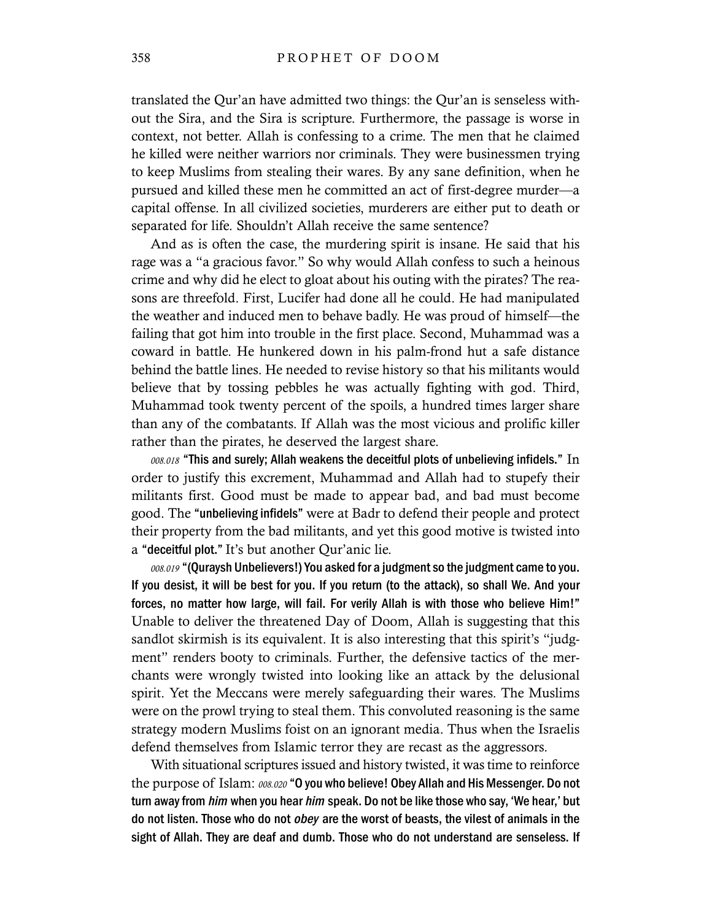translated the Qur'an have admitted two things: the Qur'an is senseless without the Sira, and the Sira is scripture. Furthermore, the passage is worse in context, not better. Allah is confessing to a crime. The men that he claimed he killed were neither warriors nor criminals. They were businessmen trying to keep Muslims from stealing their wares. By any sane definition, when he pursued and killed these men he committed an act of first-degree murder—a capital offense. In all civilized societies, murderers are either put to death or separated for life. Shouldn't Allah receive the same sentence?

And as is often the case, the murdering spirit is insane. He said that his rage was a "a gracious favor." So why would Allah confess to such a heinous crime and why did he elect to gloat about his outing with the pirates? The reasons are threefold. First, Lucifer had done all he could. He had manipulated the weather and induced men to behave badly. He was proud of himself—the failing that got him into trouble in the first place. Second, Muhammad was a coward in battle. He hunkered down in his palm-frond hut a safe distance behind the battle lines. He needed to revise history so that his militants would believe that by tossing pebbles he was actually fighting with god. Third, Muhammad took twenty percent of the spoils, a hundred times larger share than any of the combatants. If Allah was the most vicious and prolific killer rather than the pirates, he deserved the largest share.

*008.018* "This and surely; Allah weakens the deceitful plots of unbelieving infidels." In order to justify this excrement, Muhammad and Allah had to stupefy their militants first. Good must be made to appear bad, and bad must become good. The "unbelieving infidels" were at Badr to defend their people and protect their property from the bad militants, and yet this good motive is twisted into a "deceitful plot." It's but another Qur'anic lie.

*008.019* "(Quraysh Unbelievers!) You asked for a judgment so the judgment came to you. If you desist, it will be best for you. If you return (to the attack), so shall We. And your forces, no matter how large, will fail. For verily Allah is with those who believe Him!" Unable to deliver the threatened Day of Doom, Allah is suggesting that this sandlot skirmish is its equivalent. It is also interesting that this spirit's "judgment" renders booty to criminals. Further, the defensive tactics of the merchants were wrongly twisted into looking like an attack by the delusional spirit. Yet the Meccans were merely safeguarding their wares. The Muslims were on the prowl trying to steal them. This convoluted reasoning is the same strategy modern Muslims foist on an ignorant media. Thus when the Israelis defend themselves from Islamic terror they are recast as the aggressors.

With situational scriptures issued and history twisted, it was time to reinforce the purpose of Islam: *008.020* "O you who believe! Obey Allah and His Messenger. Do not turn away from *him* when you hear *him* speak. Do not be like those who say, 'We hear,' but do not listen. Those who do not *obey* are the worst of beasts, the vilest of animals in the sight of Allah. They are deaf and dumb. Those who do not understand are senseless. If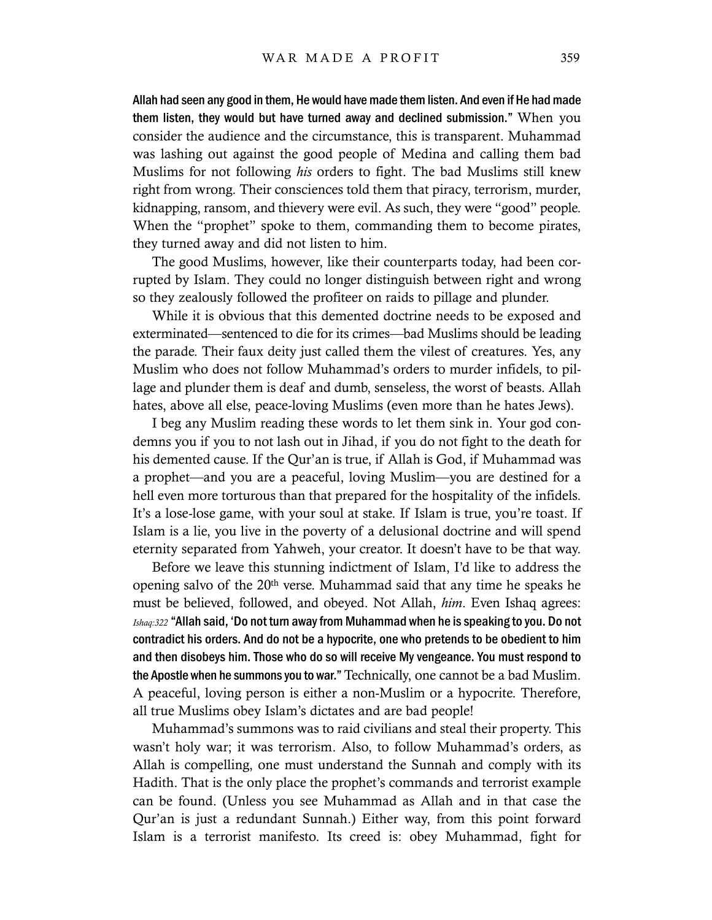Allah had seen any good in them, He would have made them listen. And even if He had made them listen, they would but have turned away and declined submission." When you consider the audience and the circumstance, this is transparent. Muhammad was lashing out against the good people of Medina and calling them bad Muslims for not following *his* orders to fight. The bad Muslims still knew right from wrong. Their consciences told them that piracy, terrorism, murder, kidnapping, ransom, and thievery were evil. As such, they were "good" people. When the "prophet" spoke to them, commanding them to become pirates, they turned away and did not listen to him.

The good Muslims, however, like their counterparts today, had been corrupted by Islam. They could no longer distinguish between right and wrong so they zealously followed the profiteer on raids to pillage and plunder.

While it is obvious that this demented doctrine needs to be exposed and exterminated—sentenced to die for its crimes—bad Muslims should be leading the parade. Their faux deity just called them the vilest of creatures. Yes, any Muslim who does not follow Muhammad's orders to murder infidels, to pillage and plunder them is deaf and dumb, senseless, the worst of beasts. Allah hates, above all else, peace-loving Muslims (even more than he hates Jews).

I beg any Muslim reading these words to let them sink in. Your god condemns you if you to not lash out in Jihad, if you do not fight to the death for his demented cause. If the Qur'an is true, if Allah is God, if Muhammad was a prophet—and you are a peaceful, loving Muslim—you are destined for a hell even more torturous than that prepared for the hospitality of the infidels. It's a lose-lose game, with your soul at stake. If Islam is true, you're toast. If Islam is a lie, you live in the poverty of a delusional doctrine and will spend eternity separated from Yahweh, your creator. It doesn't have to be that way.

Before we leave this stunning indictment of Islam, I'd like to address the opening salvo of the 20th verse. Muhammad said that any time he speaks he must be believed, followed, and obeyed. Not Allah, *him*. Even Ishaq agrees: *Ishaq:322* "Allah said, 'Do not turn away from Muhammad when he is speaking to you. Do not contradict his orders. And do not be a hypocrite, one who pretends to be obedient to him and then disobeys him. Those who do so will receive My vengeance. You must respond to the Apostle when he summons you to war." Technically, one cannot be a bad Muslim. A peaceful, loving person is either a non-Muslim or a hypocrite. Therefore, all true Muslims obey Islam's dictates and are bad people!

Muhammad's summons was to raid civilians and steal their property. This wasn't holy war; it was terrorism. Also, to follow Muhammad's orders, as Allah is compelling, one must understand the Sunnah and comply with its Hadith. That is the only place the prophet's commands and terrorist example can be found. (Unless you see Muhammad as Allah and in that case the Qur'an is just a redundant Sunnah.) Either way, from this point forward Islam is a terrorist manifesto. Its creed is: obey Muhammad, fight for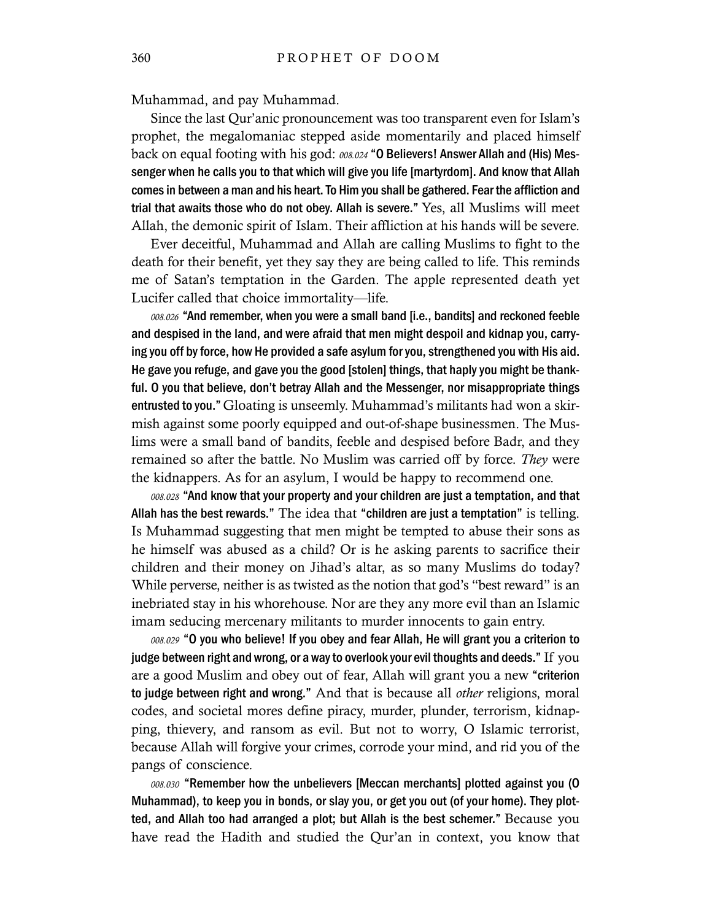Muhammad, and pay Muhammad.

Since the last Qur'anic pronouncement was too transparent even for Islam's prophet, the megalomaniac stepped aside momentarily and placed himself back on equal footing with his god: *008.024* "O Believers! Answer Allah and (His) Messenger when he calls you to that which will give you life [martyrdom]. And know that Allah comes in between a man and his heart. To Him you shall be gathered. Fear the affliction and trial that awaits those who do not obey. Allah is severe." Yes, all Muslims will meet Allah, the demonic spirit of Islam. Their affliction at his hands will be severe.

Ever deceitful, Muhammad and Allah are calling Muslims to fight to the death for their benefit, yet they say they are being called to life. This reminds me of Satan's temptation in the Garden. The apple represented death yet Lucifer called that choice immortality—life.

*008.026* "And remember, when you were a small band [i.e., bandits] and reckoned feeble and despised in the land, and were afraid that men might despoil and kidnap you, carrying you off by force, how He provided a safe asylum for you, strengthened you with His aid. He gave you refuge, and gave you the good [stolen] things, that haply you might be thankful. O you that believe, don't betray Allah and the Messenger, nor misappropriate things entrusted to you." Gloating is unseemly. Muhammad's militants had won a skirmish against some poorly equipped and out-of-shape businessmen. The Muslims were a small band of bandits, feeble and despised before Badr, and they remained so after the battle. No Muslim was carried off by force. *They* were the kidnappers. As for an asylum, I would be happy to recommend one.

*008.028* "And know that your property and your children are just a temptation, and that Allah has the best rewards." The idea that "children are just a temptation" is telling. Is Muhammad suggesting that men might be tempted to abuse their sons as he himself was abused as a child? Or is he asking parents to sacrifice their children and their money on Jihad's altar, as so many Muslims do today? While perverse, neither is as twisted as the notion that god's "best reward" is an inebriated stay in his whorehouse. Nor are they any more evil than an Islamic imam seducing mercenary militants to murder innocents to gain entry.

*008.029* "O you who believe! If you obey and fear Allah, He will grant you a criterion to judge between right and wrong, or a way to overlook your evil thoughts and deeds." If you are a good Muslim and obey out of fear, Allah will grant you a new "criterion to judge between right and wrong." And that is because all *other* religions, moral codes, and societal mores define piracy, murder, plunder, terrorism, kidnapping, thievery, and ransom as evil. But not to worry, O Islamic terrorist, because Allah will forgive your crimes, corrode your mind, and rid you of the pangs of conscience.

*008.030* "Remember how the unbelievers [Meccan merchants] plotted against you (O Muhammad), to keep you in bonds, or slay you, or get you out (of your home). They plotted, and Allah too had arranged a plot; but Allah is the best schemer." Because you have read the Hadith and studied the Qur'an in context, you know that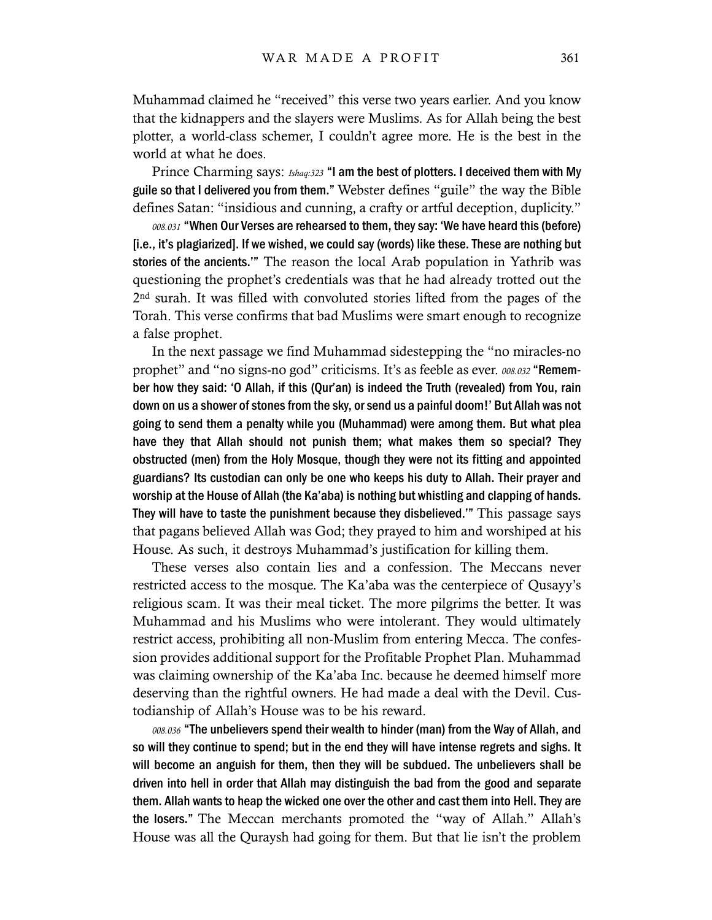Muhammad claimed he "received" this verse two years earlier. And you know that the kidnappers and the slayers were Muslims. As for Allah being the best plotter, a world-class schemer, I couldn't agree more. He is the best in the world at what he does.

Prince Charming says: *Ishaq:323* "I am the best of plotters. I deceived them with My guile so that I delivered you from them." Webster defines "guile" the way the Bible defines Satan: "insidious and cunning, a crafty or artful deception, duplicity."

*008.031* "When Our Verses are rehearsed to them, they say: 'We have heard this (before) [i.e., it's plagiarized]. If we wished, we could say (words) like these. These are nothing but stories of the ancients.'" The reason the local Arab population in Yathrib was questioning the prophet's credentials was that he had already trotted out the 2nd surah. It was filled with convoluted stories lifted from the pages of the Torah. This verse confirms that bad Muslims were smart enough to recognize a false prophet.

In the next passage we find Muhammad sidestepping the "no miracles-no prophet" and "no signs-no god" criticisms. It's as feeble as ever. *008.032* "Remember how they said: 'O Allah, if this (Qur'an) is indeed the Truth (revealed) from You, rain down on us a shower of stones from the sky, or send us a painful doom!' But Allah was not going to send them a penalty while you (Muhammad) were among them. But what plea have they that Allah should not punish them; what makes them so special? They obstructed (men) from the Holy Mosque, though they were not its fitting and appointed guardians? Its custodian can only be one who keeps his duty to Allah. Their prayer and worship at the House of Allah (the Ka'aba) is nothing but whistling and clapping of hands. They will have to taste the punishment because they disbelieved.'" This passage says that pagans believed Allah was God; they prayed to him and worshiped at his House. As such, it destroys Muhammad's justification for killing them.

These verses also contain lies and a confession. The Meccans never restricted access to the mosque. The Ka'aba was the centerpiece of Qusayy's religious scam. It was their meal ticket. The more pilgrims the better. It was Muhammad and his Muslims who were intolerant. They would ultimately restrict access, prohibiting all non-Muslim from entering Mecca. The confession provides additional support for the Profitable Prophet Plan. Muhammad was claiming ownership of the Ka'aba Inc. because he deemed himself more deserving than the rightful owners. He had made a deal with the Devil. Custodianship of Allah's House was to be his reward.

*008.036* "The unbelievers spend their wealth to hinder (man) from the Way of Allah, and so will they continue to spend; but in the end they will have intense regrets and sighs. It will become an anguish for them, then they will be subdued. The unbelievers shall be driven into hell in order that Allah may distinguish the bad from the good and separate them. Allah wants to heap the wicked one over the other and cast them into Hell. They are the losers." The Meccan merchants promoted the "way of Allah." Allah's House was all the Quraysh had going for them. But that lie isn't the problem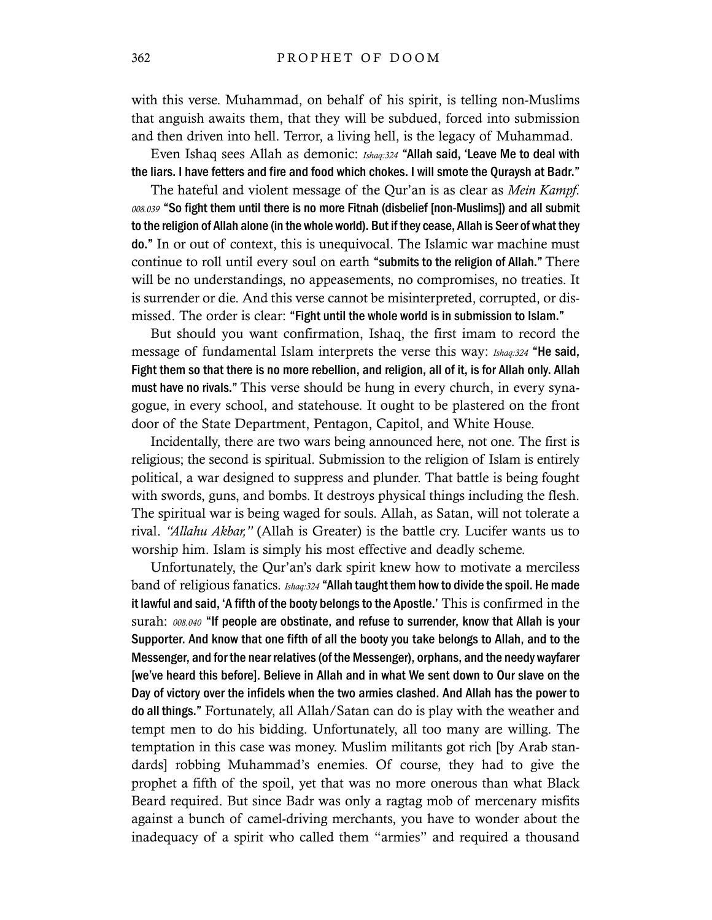with this verse. Muhammad, on behalf of his spirit, is telling non-Muslims that anguish awaits them, that they will be subdued, forced into submission and then driven into hell. Terror, a living hell, is the legacy of Muhammad.

Even Ishaq sees Allah as demonic: *Ishaq:324* "Allah said, 'Leave Me to deal with the liars. I have fetters and fire and food which chokes. I will smote the Quraysh at Badr."

The hateful and violent message of the Qur'an is as clear as *Mein Kampf*. *008.039* "So fight them until there is no more Fitnah (disbelief [non-Muslims]) and all submit to the religion of Allah alone (in the whole world). But if they cease, Allah is Seer of what they do." In or out of context, this is unequivocal. The Islamic war machine must continue to roll until every soul on earth "submits to the religion of Allah." There will be no understandings, no appeasements, no compromises, no treaties. It is surrender or die. And this verse cannot be misinterpreted, corrupted, or dismissed. The order is clear: "Fight until the whole world is in submission to Islam."

But should you want confirmation, Ishaq, the first imam to record the message of fundamental Islam interprets the verse this way: *Ishaq:324* "He said, Fight them so that there is no more rebellion, and religion, all of it, is for Allah only. Allah must have no rivals." This verse should be hung in every church, in every synagogue, in every school, and statehouse. It ought to be plastered on the front door of the State Department, Pentagon, Capitol, and White House.

Incidentally, there are two wars being announced here, not one. The first is religious; the second is spiritual. Submission to the religion of Islam is entirely political, a war designed to suppress and plunder. That battle is being fought with swords, guns, and bombs. It destroys physical things including the flesh. The spiritual war is being waged for souls. Allah, as Satan, will not tolerate a rival. *"Allahu Akbar,"* (Allah is Greater) is the battle cry. Lucifer wants us to worship him. Islam is simply his most effective and deadly scheme.

Unfortunately, the Qur'an's dark spirit knew how to motivate a merciless band of religious fanatics. *Ishaq:324* "Allah taught them how to divide the spoil. He made it lawful and said, 'A fifth of the booty belongs to the Apostle.' This is confirmed in the surah: *008.040* "If people are obstinate, and refuse to surrender, know that Allah is your Supporter. And know that one fifth of all the booty you take belongs to Allah, and to the Messenger, and for the near relatives (of the Messenger), orphans, and the needy wayfarer [we've heard this before]. Believe in Allah and in what We sent down to Our slave on the Day of victory over the infidels when the two armies clashed. And Allah has the power to do all things." Fortunately, all Allah/Satan can do is play with the weather and tempt men to do his bidding. Unfortunately, all too many are willing. The temptation in this case was money. Muslim militants got rich [by Arab standards] robbing Muhammad's enemies. Of course, they had to give the prophet a fifth of the spoil, yet that was no more onerous than what Black Beard required. But since Badr was only a ragtag mob of mercenary misfits against a bunch of camel-driving merchants, you have to wonder about the inadequacy of a spirit who called them "armies" and required a thousand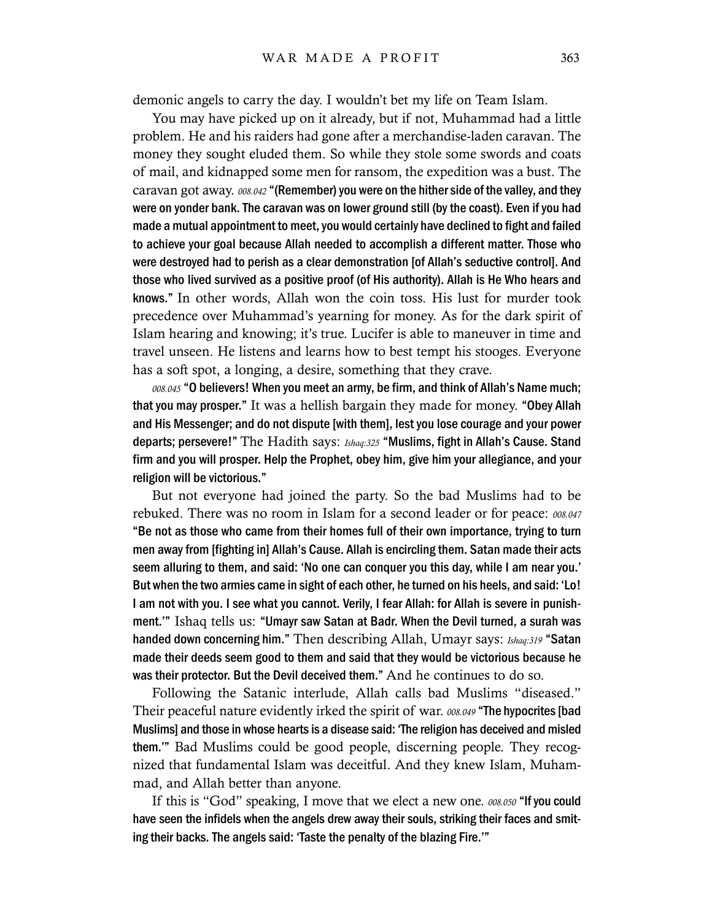demonic angels to carry the day. I wouldn't bet my life on Team Islam.

You may have picked up on it already, but if not, Muhammad had a little problem. He and his raiders had gone after a merchandise-laden caravan. The money they sought eluded them. So while they stole some swords and coats of mail, and kidnapped some men for ransom, the expedition was a bust. The caravan got away. *008.042* "(Remember) you were on the hither side of the valley, and they were on yonder bank. The caravan was on lower ground still (by the coast). Even if you had made a mutual appointment to meet, you would certainly have declined to fight and failed to achieve your goal because Allah needed to accomplish a different matter. Those who were destroyed had to perish as a clear demonstration [of Allah's seductive control]. And those who lived survived as a positive proof (of His authority). Allah is He Who hears and knows." In other words, Allah won the coin toss. His lust for murder took precedence over Muhammad's yearning for money. As for the dark spirit of Islam hearing and knowing; it's true. Lucifer is able to maneuver in time and travel unseen. He listens and learns how to best tempt his stooges. Everyone has a soft spot, a longing, a desire, something that they crave.

*008.045* "O believers! When you meet an army, be firm, and think of Allah's Name much; that you may prosper." It was a hellish bargain they made for money. "Obey Allah and His Messenger; and do not dispute [with them], lest you lose courage and your power departs; persevere!" The Hadith says: *Ishaq:325* "Muslims, fight in Allah's Cause. Stand firm and you will prosper. Help the Prophet, obey him, give him your allegiance, and your religion will be victorious."

But not everyone had joined the party. So the bad Muslims had to be rebuked. There was no room in Islam for a second leader or for peace: *008.047* "Be not as those who came from their homes full of their own importance, trying to turn men away from [fighting in] Allah's Cause. Allah is encircling them. Satan made their acts seem alluring to them, and said: 'No one can conquer you this day, while I am near you.' But when the two armies came in sight of each other, he turned on his heels, and said: 'Lo! I am not with you. I see what you cannot. Verily, I fear Allah: for Allah is severe in punishment.'" Ishaq tells us: "Umayr saw Satan at Badr. When the Devil turned, a surah was handed down concerning him." Then describing Allah, Umayr says: *Ishaq:319* "Satan made their deeds seem good to them and said that they would be victorious because he was their protector. But the Devil deceived them." And he continues to do so.

Following the Satanic interlude, Allah calls bad Muslims "diseased." Their peaceful nature evidently irked the spirit of war. *008.049* "The hypocrites [bad Muslims] and those in whose hearts is a disease said: 'The religion has deceived and misled them.'" Bad Muslims could be good people, discerning people. They recognized that fundamental Islam was deceitful. And they knew Islam, Muhammad, and Allah better than anyone.

If this is "God" speaking, I move that we elect a new one. *008.050* "If you could have seen the infidels when the angels drew away their souls, striking their faces and smiting their backs. The angels said: 'Taste the penalty of the blazing Fire.'"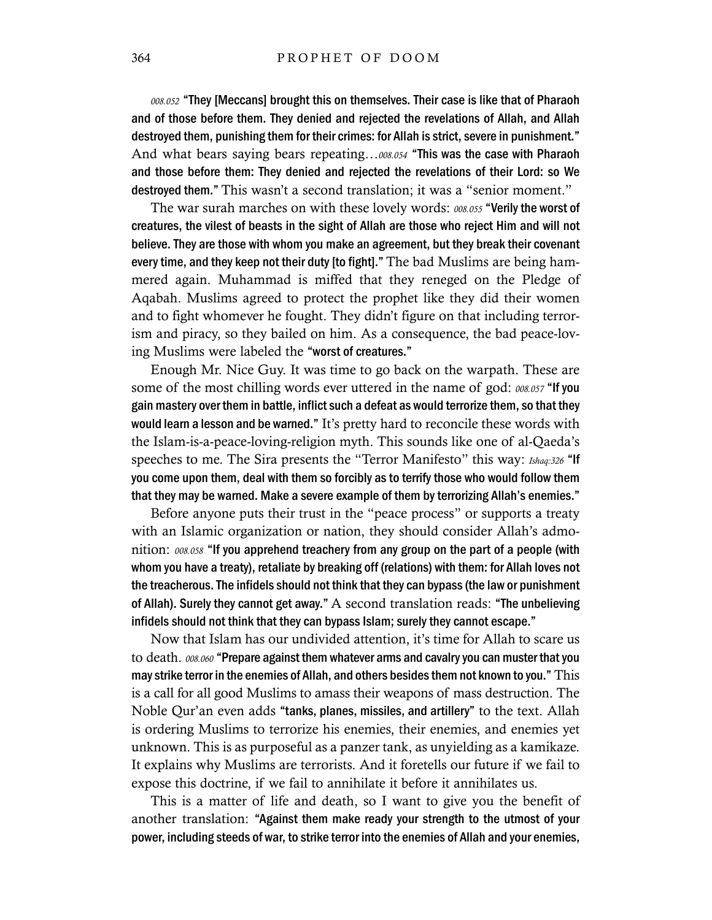*008.052* "They [Meccans] brought this on themselves. Their case is like that of Pharaoh and of those before them. They denied and rejected the revelations of Allah, and Allah destroyed them, punishing them for their crimes: for Allah is strict, severe in punishment." And what bears saying bears repeating…*008.054* "This was the case with Pharaoh and those before them: They denied and rejected the revelations of their Lord: so We destroyed them." This wasn't a second translation; it was a "senior moment."

The war surah marches on with these lovely words: *008.055* "Verily the worst of creatures, the vilest of beasts in the sight of Allah are those who reject Him and will not believe. They are those with whom you make an agreement, but they break their covenant every time, and they keep not their duty [to fight]." The bad Muslims are being hammered again. Muhammad is miffed that they reneged on the Pledge of Aqabah. Muslims agreed to protect the prophet like they did their women and to fight whomever he fought. They didn't figure on that including terrorism and piracy, so they bailed on him. As a consequence, the bad peace-loving Muslims were labeled the "worst of creatures."

Enough Mr. Nice Guy. It was time to go back on the warpath. These are some of the most chilling words ever uttered in the name of god: *008.057* "If you gain mastery over them in battle, inflict such a defeat as would terrorize them, so that they would learn a lesson and be warned." It's pretty hard to reconcile these words with the Islam-is-a-peace-loving-religion myth. This sounds like one of al-Qaeda's speeches to me. The Sira presents the "Terror Manifesto" this way: *Ishaq:326* "If you come upon them, deal with them so forcibly as to terrify those who would follow them that they may be warned. Make a severe example of them by terrorizing Allah's enemies."

Before anyone puts their trust in the "peace process" or supports a treaty with an Islamic organization or nation, they should consider Allah's admonition: *008.058* "If you apprehend treachery from any group on the part of a people (with whom you have a treaty), retaliate by breaking off (relations) with them: for Allah loves not the treacherous. The infidels should not think that they can bypass (the law or punishment of Allah). Surely they cannot get away." A second translation reads: "The unbelieving infidels should not think that they can bypass Islam; surely they cannot escape."

Now that Islam has our undivided attention, it's time for Allah to scare us to death. *008.060* "Prepare against them whatever arms and cavalry you can muster that you may strike terror in the enemies of Allah, and others besides them not known to you." This is a call for all good Muslims to amass their weapons of mass destruction. The Noble Qur'an even adds "tanks, planes, missiles, and artillery" to the text. Allah is ordering Muslims to terrorize his enemies, their enemies, and enemies yet unknown. This is as purposeful as a panzer tank, as unyielding as a kamikaze. It explains why Muslims are terrorists. And it foretells our future if we fail to expose this doctrine, if we fail to annihilate it before it annihilates us.

This is a matter of life and death, so I want to give you the benefit of another translation: "Against them make ready your strength to the utmost of your power, including steeds of war, to strike terror into the enemies of Allah and your enemies,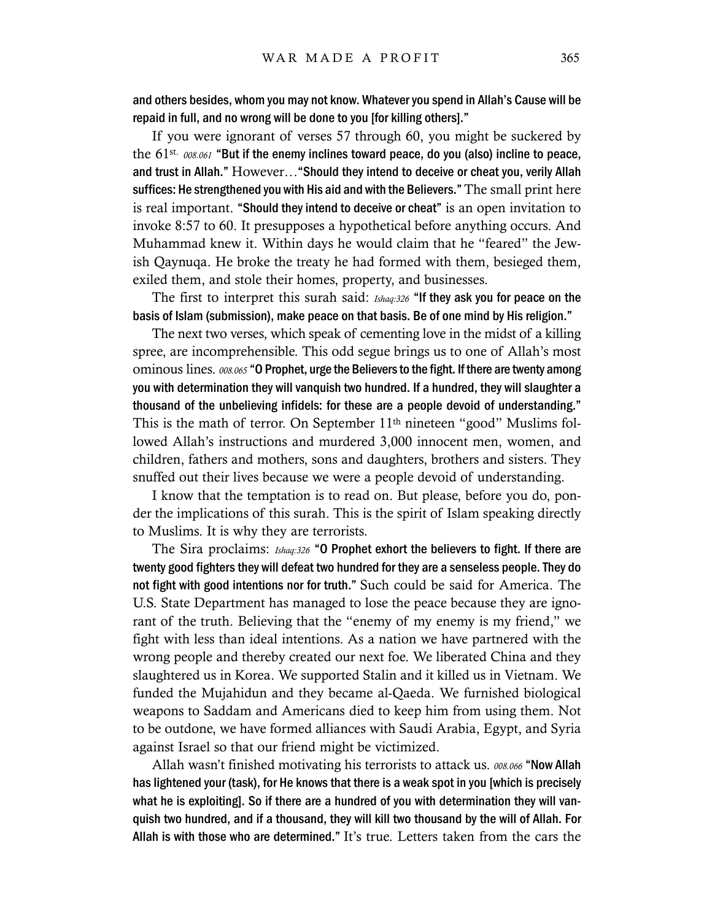and others besides, whom you may not know. Whatever you spend in Allah's Cause will be repaid in full, and no wrong will be done to you [for killing others]."

If you were ignorant of verses 57 through 60, you might be suckered by the 61st. *008.061* "But if the enemy inclines toward peace, do you (also) incline to peace, and trust in Allah." However…"Should they intend to deceive or cheat you, verily Allah suffices: He strengthened you with His aid and with the Believers." The small print here is real important. "Should they intend to deceive or cheat" is an open invitation to invoke 8:57 to 60. It presupposes a hypothetical before anything occurs. And Muhammad knew it. Within days he would claim that he "feared" the Jewish Qaynuqa. He broke the treaty he had formed with them, besieged them, exiled them, and stole their homes, property, and businesses.

The first to interpret this surah said: *Ishaq:326* "If they ask you for peace on the basis of Islam (submission), make peace on that basis. Be of one mind by His religion."

The next two verses, which speak of cementing love in the midst of a killing spree, are incomprehensible. This odd segue brings us to one of Allah's most ominous lines. *008.065* "O Prophet, urge the Believers to the fight. If there are twenty among you with determination they will vanquish two hundred. If a hundred, they will slaughter a thousand of the unbelieving infidels: for these are a people devoid of understanding." This is the math of terror. On September 11<sup>th</sup> nineteen "good" Muslims followed Allah's instructions and murdered 3,000 innocent men, women, and children, fathers and mothers, sons and daughters, brothers and sisters. They snuffed out their lives because we were a people devoid of understanding.

I know that the temptation is to read on. But please, before you do, ponder the implications of this surah. This is the spirit of Islam speaking directly to Muslims. It is why they are terrorists.

The Sira proclaims: *Ishaq:326* "O Prophet exhort the believers to fight. If there are twenty good fighters they will defeat two hundred for they are a senseless people. They do not fight with good intentions nor for truth." Such could be said for America. The U.S. State Department has managed to lose the peace because they are ignorant of the truth. Believing that the "enemy of my enemy is my friend," we fight with less than ideal intentions. As a nation we have partnered with the wrong people and thereby created our next foe. We liberated China and they slaughtered us in Korea. We supported Stalin and it killed us in Vietnam. We funded the Mujahidun and they became al-Qaeda. We furnished biological weapons to Saddam and Americans died to keep him from using them. Not to be outdone, we have formed alliances with Saudi Arabia, Egypt, and Syria against Israel so that our friend might be victimized.

Allah wasn't finished motivating his terrorists to attack us. *008.066* "Now Allah has lightened your (task), for He knows that there is a weak spot in you [which is precisely what he is exploiting]. So if there are a hundred of you with determination they will vanquish two hundred, and if a thousand, they will kill two thousand by the will of Allah. For Allah is with those who are determined." It's true. Letters taken from the cars the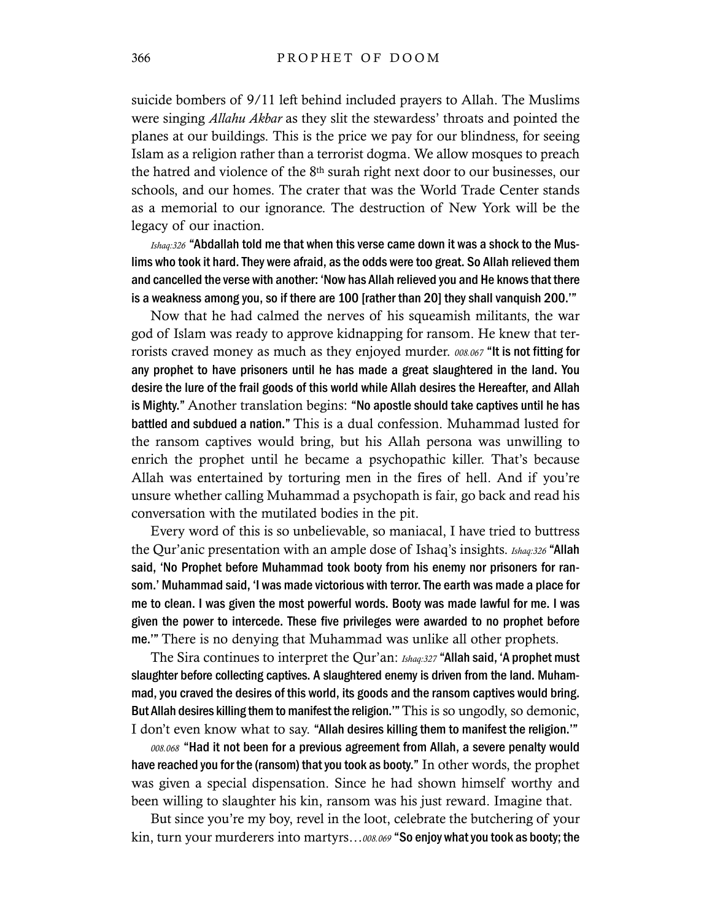suicide bombers of 9/11 left behind included prayers to Allah. The Muslims were singing *Allahu Akbar* as they slit the stewardess' throats and pointed the planes at our buildings. This is the price we pay for our blindness, for seeing Islam as a religion rather than a terrorist dogma. We allow mosques to preach the hatred and violence of the 8<sup>th</sup> surah right next door to our businesses, our schools, and our homes. The crater that was the World Trade Center stands as a memorial to our ignorance. The destruction of New York will be the legacy of our inaction.

*Ishaq:326* "Abdallah told me that when this verse came down it was a shock to the Muslims who took it hard. They were afraid, as the odds were too great. So Allah relieved them and cancelled the verse with another: 'Now has Allah relieved you and He knows that there is a weakness among you, so if there are 100 [rather than 20] they shall vanquish 200.'"

Now that he had calmed the nerves of his squeamish militants, the war god of Islam was ready to approve kidnapping for ransom. He knew that terrorists craved money as much as they enjoyed murder. *008.067* "It is not fitting for any prophet to have prisoners until he has made a great slaughtered in the land. You desire the lure of the frail goods of this world while Allah desires the Hereafter, and Allah is Mighty." Another translation begins: "No apostle should take captives until he has battled and subdued a nation." This is a dual confession. Muhammad lusted for the ransom captives would bring, but his Allah persona was unwilling to enrich the prophet until he became a psychopathic killer. That's because Allah was entertained by torturing men in the fires of hell. And if you're unsure whether calling Muhammad a psychopath is fair, go back and read his conversation with the mutilated bodies in the pit.

Every word of this is so unbelievable, so maniacal, I have tried to buttress the Qur'anic presentation with an ample dose of Ishaq's insights. *Ishaq:326* "Allah said, 'No Prophet before Muhammad took booty from his enemy nor prisoners for ransom.' Muhammad said, 'I was made victorious with terror. The earth was made a place for me to clean. I was given the most powerful words. Booty was made lawful for me. I was given the power to intercede. These five privileges were awarded to no prophet before me.'" There is no denying that Muhammad was unlike all other prophets.

The Sira continues to interpret the Qur'an: *Ishaq:327* "Allah said, 'A prophet must slaughter before collecting captives. A slaughtered enemy is driven from the land. Muhammad, you craved the desires of this world, its goods and the ransom captives would bring. But Allah desires killing them to manifest the religion.'" This is so ungodly, so demonic, I don't even know what to say. "Allah desires killing them to manifest the religion.'"

*008.068* "Had it not been for a previous agreement from Allah, a severe penalty would have reached you for the (ransom) that you took as booty." In other words, the prophet was given a special dispensation. Since he had shown himself worthy and been willing to slaughter his kin, ransom was his just reward. Imagine that.

But since you're my boy, revel in the loot, celebrate the butchering of your kin, turn your murderers into martyrs…*008.069* "So enjoy what you took as booty; the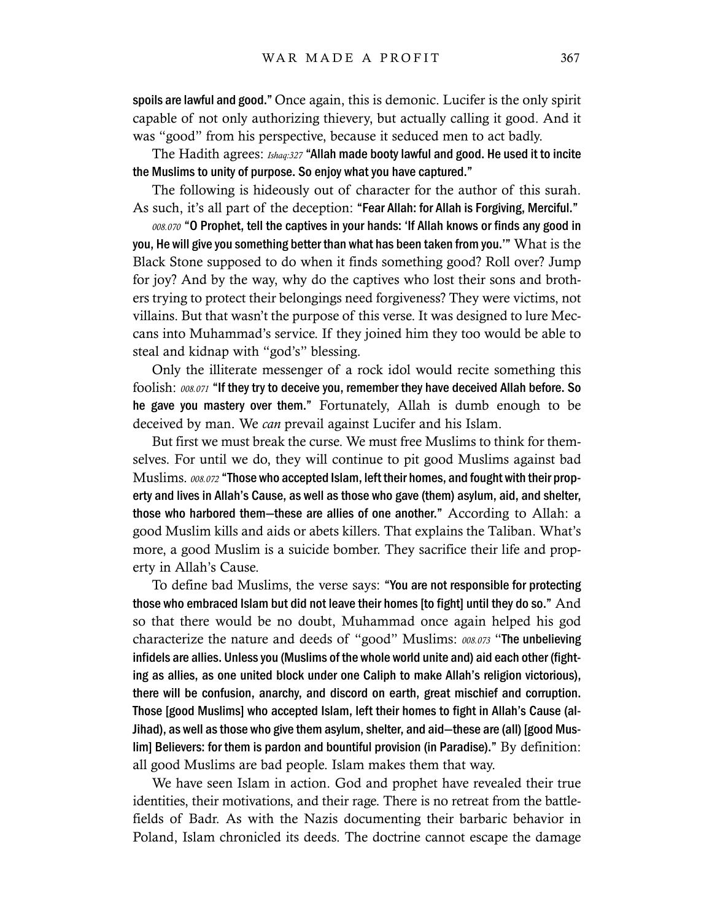spoils are lawful and good." Once again, this is demonic. Lucifer is the only spirit capable of not only authorizing thievery, but actually calling it good. And it was "good" from his perspective, because it seduced men to act badly.

The Hadith agrees: *Ishaq:327* "Allah made booty lawful and good. He used it to incite the Muslims to unity of purpose. So enjoy what you have captured."

The following is hideously out of character for the author of this surah. As such, it's all part of the deception: "Fear Allah: for Allah is Forgiving, Merciful."

*008.070* "O Prophet, tell the captives in your hands: 'If Allah knows or finds any good in you, He will give you something better than what has been taken from you.'" What is the Black Stone supposed to do when it finds something good? Roll over? Jump for joy? And by the way, why do the captives who lost their sons and brothers trying to protect their belongings need forgiveness? They were victims, not villains. But that wasn't the purpose of this verse. It was designed to lure Meccans into Muhammad's service. If they joined him they too would be able to steal and kidnap with "god's" blessing.

Only the illiterate messenger of a rock idol would recite something this foolish: *008.071* "If they try to deceive you, remember they have deceived Allah before. So he gave you mastery over them." Fortunately, Allah is dumb enough to be deceived by man. We *can* prevail against Lucifer and his Islam.

But first we must break the curse. We must free Muslims to think for themselves. For until we do, they will continue to pit good Muslims against bad Muslims. *008.072* "Those who accepted Islam, left their homes, and fought with their property and lives in Allah's Cause, as well as those who gave (them) asylum, aid, and shelter, those who harbored them—these are allies of one another." According to Allah: a good Muslim kills and aids or abets killers. That explains the Taliban. What's more, a good Muslim is a suicide bomber. They sacrifice their life and property in Allah's Cause.

To define bad Muslims, the verse says: "You are not responsible for protecting those who embraced Islam but did not leave their homes [to fight] until they do so." And so that there would be no doubt, Muhammad once again helped his god characterize the nature and deeds of "good" Muslims: *008.073* "The unbelieving infidels are allies. Unless you (Muslims of the whole world unite and) aid each other (fighting as allies, as one united block under one Caliph to make Allah's religion victorious), there will be confusion, anarchy, and discord on earth, great mischief and corruption. Those [good Muslims] who accepted Islam, left their homes to fight in Allah's Cause (al-Jihad), as well as those who give them asylum, shelter, and aid—these are (all) [good Muslim] Believers: for them is pardon and bountiful provision (in Paradise)." By definition: all good Muslims are bad people. Islam makes them that way.

We have seen Islam in action. God and prophet have revealed their true identities, their motivations, and their rage. There is no retreat from the battlefields of Badr. As with the Nazis documenting their barbaric behavior in Poland, Islam chronicled its deeds. The doctrine cannot escape the damage